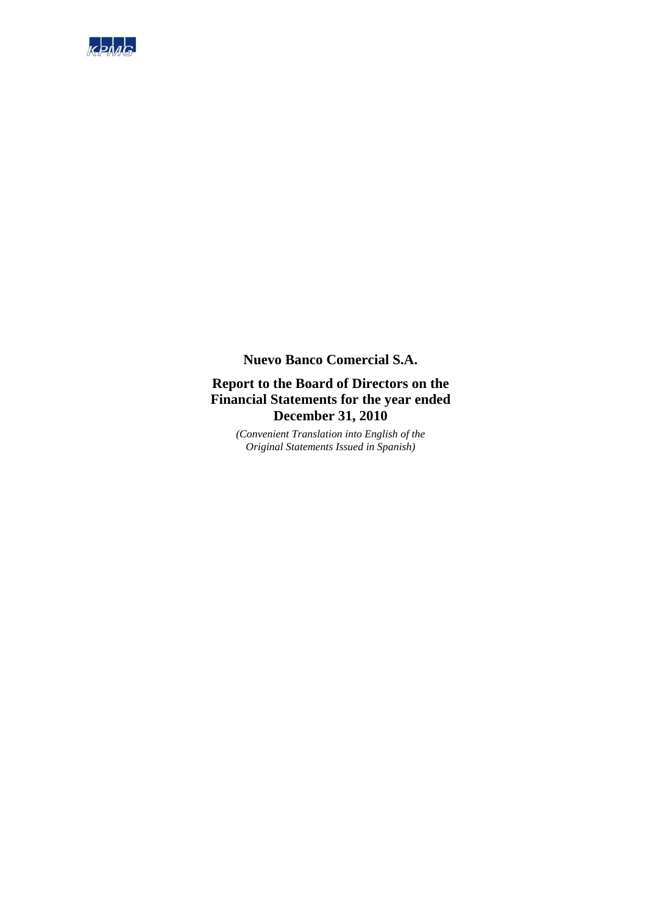

**Nuevo Banco Comercial S.A.**

## **Report to the Board of Directors on the Financial Statements for the year ended December 31, 2010**

*(Convenient Translation into English of the Original Statements Issued in Spanish)*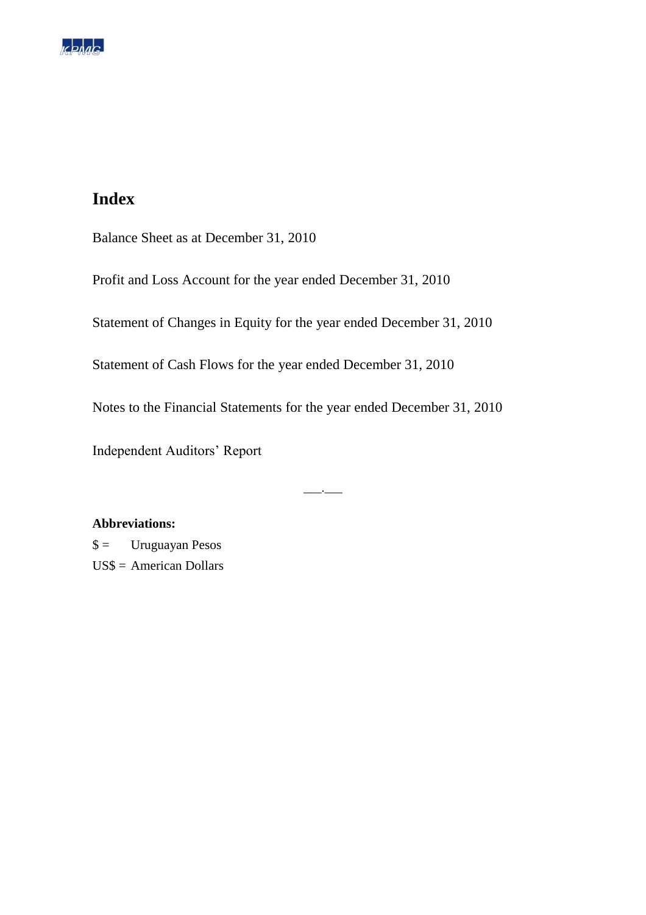

# **Index**

Balance Sheet as at December 31, 2010

Profit and Loss Account for the year ended December 31, 2010

Statement of Changes in Equity for the year ended December 31, 2010

Statement of Cash Flows for the year ended December 31, 2010

Notes to the Financial Statements for the year ended December 31, 2010

 $\overline{\phantom{a}}$ 

Independent Auditors' Report

### **Abbreviations:**

 $\$\$  = Uruguayan Pesos US\$ = American Dollars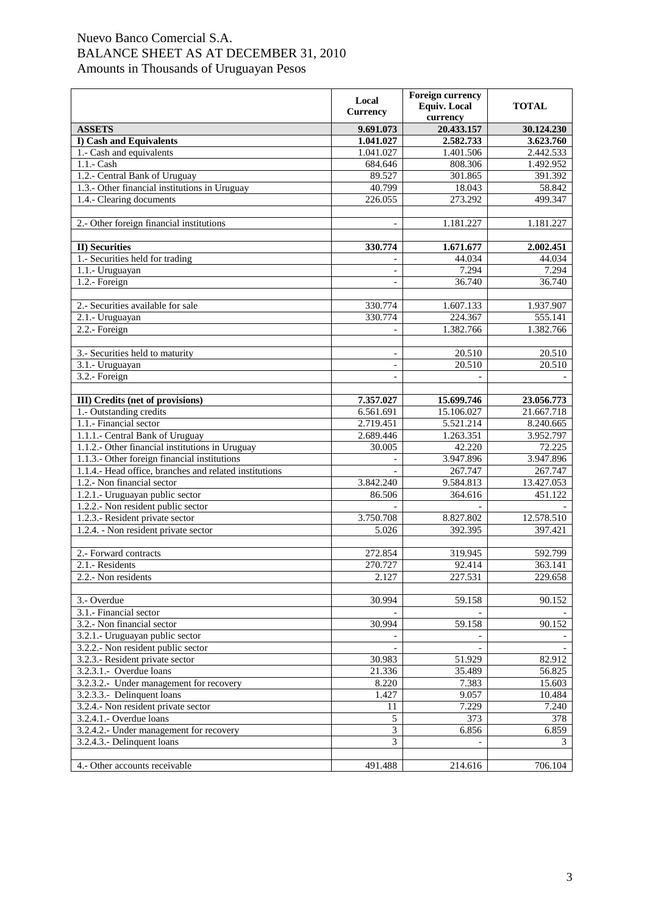## Nuevo Banco Comercial S.A. BALANCE SHEET AS AT DECEMBER 31, 2010 Amounts in Thousands of Uruguayan Pesos

|                                                        | Local<br><b>Currency</b> | <b>Foreign currency</b><br><b>Equiv. Local</b><br>currency | <b>TOTAL</b> |
|--------------------------------------------------------|--------------------------|------------------------------------------------------------|--------------|
| <b>ASSETS</b>                                          | 9.691.073                | 20.433.157                                                 | 30.124.230   |
| <b>I)</b> Cash and Equivalents                         | 1.041.027                | 2.582.733                                                  | 3.623.760    |
| 1.- Cash and equivalents                               | 1.041.027                | 1.401.506                                                  | 2.442.533    |
| $1.1 - Cash$                                           | 684.646                  | 808.306                                                    | 1.492.952    |
| 1.2.- Central Bank of Uruguay                          | 89.527                   | 301.865                                                    | 391.392      |
| 1.3.- Other financial institutions in Uruguay          | 40.799                   | 18.043                                                     | 58.842       |
| 1.4.- Clearing documents                               | 226.055                  | 273.292                                                    | 499.347      |
|                                                        |                          |                                                            |              |
| 2.- Other foreign financial institutions               | $\overline{\phantom{0}}$ | 1.181.227                                                  | 1.181.227    |
|                                                        |                          |                                                            |              |
| <b>II)</b> Securities                                  | 330.774                  | 1.671.677                                                  | 2.002.451    |
| 1.- Securities held for trading                        | $\qquad \qquad -$        | 44.034                                                     | 44.034       |
| 1.1.- Uruguayan                                        | $\blacksquare$           | 7.294                                                      | 7.294        |
| 1.2.- Foreign                                          | $\overline{a}$           | 36.740                                                     | 36.740       |
|                                                        |                          |                                                            |              |
| 2.- Securities available for sale                      | 330.774                  | 1.607.133                                                  | 1.937.907    |
| 2.1.- Uruguayan                                        | 330.774                  | 224.367                                                    | 555.141      |
| 2.2.- Foreign                                          |                          | 1.382.766                                                  | 1.382.766    |
|                                                        |                          |                                                            |              |
| 3.- Securities held to maturity                        | $\blacksquare$           | 20.510                                                     | 20.510       |
| 3.1.- Uruguayan                                        | $\overline{a}$           | 20.510                                                     | 20.510       |
| 3.2.- Foreign                                          | $\overline{\phantom{a}}$ |                                                            |              |
|                                                        |                          |                                                            |              |
| <b>III</b> ) Credits (net of provisions)               | 7.357.027                | 15.699.746                                                 | 23.056.773   |
| 1.- Outstanding credits                                | 6.561.691                | 15.106.027                                                 | 21.667.718   |
| 1.1.- Financial sector                                 | 2.719.451                | 5.521.214                                                  | 8.240.665    |
| 1.1.1.- Central Bank of Uruguay                        | 2.689.446                | 1.263.351                                                  | 3.952.797    |
| 1.1.2.- Other financial institutions in Uruguay        | 30.005                   | 42.220                                                     | 72.225       |
| 1.1.3.- Other foreign financial institutions           |                          | 3.947.896                                                  | 3.947.896    |
| 1.1.4.- Head office, branches and related institutions |                          | 267.747                                                    | 267.747      |
| 1.2.- Non financial sector                             | 3.842.240                | 9.584.813                                                  | 13.427.053   |
| 1.2.1.- Uruguayan public sector                        | 86.506                   | 364.616                                                    | 451.122      |
| 1.2.2.- Non resident public sector                     |                          |                                                            |              |
| 1.2.3.- Resident private sector                        | 3.750.708                | 8.827.802                                                  | 12.578.510   |
| 1.2.4. - Non resident private sector                   | 5.026                    | 392.395                                                    | 397.421      |
|                                                        |                          |                                                            |              |
| 2.- Forward contracts                                  | 272.854                  | 319.945                                                    | 592.799      |
| 2.1.- Residents                                        | 270.727                  | 92.414                                                     | 363.141      |
| 2.2.- Non residents                                    | 2.127                    | 227.531                                                    | 229.658      |
|                                                        |                          |                                                            |              |
| 3.- Overdue                                            | 30.994                   | 59.158                                                     | 90.152       |
| 3.1.- Financial sector                                 |                          |                                                            |              |
| 3.2.- Non financial sector                             | 30.994                   | 59.158                                                     | 90.152       |
| 3.2.1.- Uruguayan public sector                        |                          |                                                            |              |
| 3.2.2.- Non resident public sector                     |                          |                                                            |              |
| 3.2.3.- Resident private sector                        | 30.983                   | 51.929                                                     | 82.912       |
| 3.2.3.1.- Overdue loans                                | 21.336                   | 35.489                                                     | 56.825       |
| 3.2.3.2.- Under management for recovery                | 8.220                    | 7.383                                                      | 15.603       |
| 3.2.3.3.- Delinquent loans                             | 1.427                    | 9.057                                                      | 10.484       |
| 3.2.4.- Non resident private sector                    | 11                       | 7.229                                                      | 7.240        |
| 3.2.4.1.- Overdue loans                                | $\sqrt{5}$               | 373                                                        | 378          |
| 3.2.4.2.- Under management for recovery                | $\overline{\mathbf{3}}$  | 6.856                                                      | 6.859        |
| 3.2.4.3.- Delinquent loans                             | 3                        |                                                            | 3            |
|                                                        |                          |                                                            |              |
| 4.- Other accounts receivable                          | 491.488                  | 214.616                                                    | 706.104      |
|                                                        |                          |                                                            |              |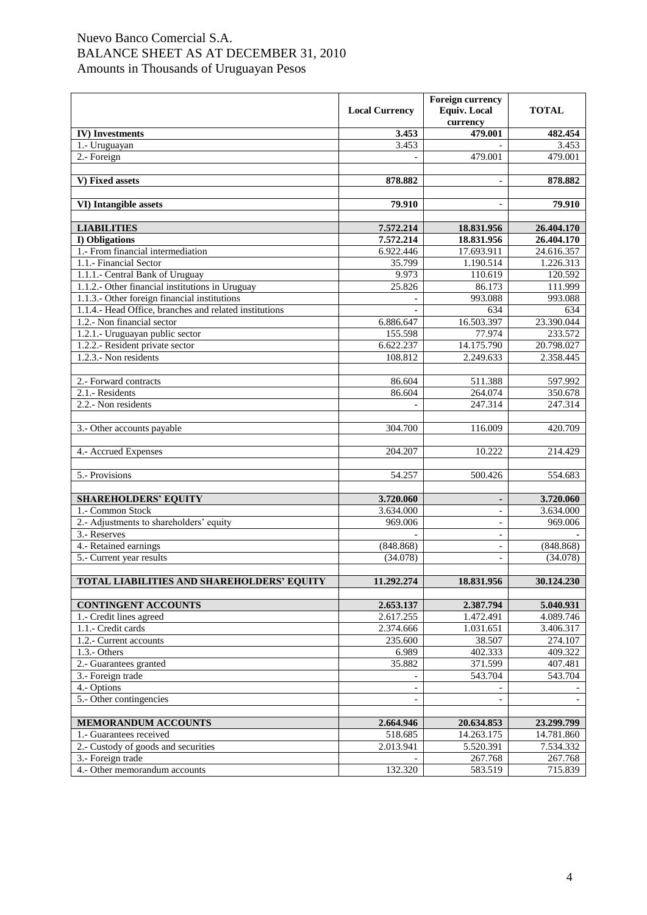## Nuevo Banco Comercial S.A. BALANCE SHEET AS AT DECEMBER 31, 2010 Amounts in Thousands of Uruguayan Pesos

|                                                        | <b>Local Currency</b>    | Foreign currency<br><b>Equiv.</b> Local<br>currency | <b>TOTAL</b> |
|--------------------------------------------------------|--------------------------|-----------------------------------------------------|--------------|
| <b>IV)</b> Investments                                 | 3.453                    | 479.001                                             | 482.454      |
| 1.- Uruguayan                                          | 3.453                    |                                                     | 3.453        |
| 2.- Foreign                                            |                          | 479.001                                             | 479.001      |
| V) Fixed assets                                        | 878.882                  | $\mathbb{L}$                                        | 878.882      |
|                                                        |                          |                                                     |              |
| VI) Intangible assets                                  | 79.910                   | $\overline{\phantom{a}}$                            | 79.910       |
| <b>LIABILITIES</b>                                     | 7.572.214                | 18.831.956                                          | 26.404.170   |
| I) Obligations                                         | 7.572.214                | 18.831.956                                          | 26.404.170   |
| 1.- From financial intermediation                      | 6.922.446                | 17.693.911                                          | 24.616.357   |
| 1.1.- Financial Sector                                 | 35.799                   | 1.190.514                                           | 1.226.313    |
| 1.1.1.- Central Bank of Uruguay                        | 9.973                    | 110.619                                             | 120.592      |
| 1.1.2.- Other financial institutions in Uruguay        | 25.826                   | 86.173                                              | 111.999      |
| 1.1.3.- Other foreign financial institutions           |                          | 993.088                                             | 993.088      |
| 1.1.4.- Head Office, branches and related institutions |                          | 634                                                 | 634          |
| 1.2.- Non financial sector                             | 6.886.647                | 16.503.397                                          | 23.390.044   |
| 1.2.1.- Uruguayan public sector                        | 155.598                  | 77.974                                              | 233.572      |
| 1.2.2.- Resident private sector                        | 6.622.237                | 14.175.790                                          | 20.798.027   |
| 1.2.3.- Non residents                                  | 108.812                  | 2.249.633                                           | 2.358.445    |
| 2.- Forward contracts                                  | 86.604                   | 511.388                                             | 597.992      |
| 2.1.- Residents                                        | 86.604                   | 264.074                                             | 350.678      |
| 2.2.- Non residents                                    |                          | 247.314                                             | 247.314      |
|                                                        |                          |                                                     |              |
| 3.- Other accounts payable                             | 304.700                  | 116.009                                             | 420.709      |
| 4.- Accrued Expenses                                   | 204.207                  | 10.222                                              | 214.429      |
| 5.- Provisions                                         | 54.257                   | 500.426                                             | 554.683      |
| <b>SHAREHOLDERS' EQUITY</b>                            | 3.720.060                | $\blacksquare$                                      | 3.720.060    |
| 1.- Common Stock                                       | 3.634.000                | $\overline{\phantom{a}}$                            | 3.634.000    |
| 2.- Adjustments to shareholders' equity                | 969.006                  | $\overline{\phantom{a}}$                            | 969.006      |
| 3.- Reserves                                           |                          | $\overline{\phantom{a}}$                            |              |
| 4.- Retained earnings                                  | (848.868)                | $\frac{1}{2}$                                       | (848.868)    |
| 5.- Current year results                               | (34.078)                 | $\overline{\phantom{0}}$                            | (34.078)     |
| <b>TOTAL LIABILITIES AND SHAREHOLDERS' EQUITY</b>      | 11.292.274               | 18.831.956                                          | 30.124.230   |
|                                                        |                          |                                                     |              |
| <b>CONTINGENT ACCOUNTS</b>                             | 2.653.137                | 2.387.794                                           | 5.040.931    |
| 1.- Credit lines agreed                                | 2.617.255                | 1.472.491                                           | 4.089.746    |
| 1.1.- Credit cards                                     | 2.374.666                | 1.031.651                                           | 3.406.317    |
| 1.2.- Current accounts                                 | 235.600                  | 38.507                                              | 274.107      |
| 1.3.- Others                                           | 6.989                    | 402.333                                             | 409.322      |
| 2.- Guarantees granted                                 | 35.882                   | 371.599                                             | 407.481      |
| 3.- Foreign trade                                      | $\overline{\phantom{a}}$ | 543.704                                             | 543.704      |
| 4.- Options                                            | $\overline{\phantom{0}}$ |                                                     |              |
| 5.- Other contingencies                                | $\overline{\phantom{0}}$ | $\overline{\phantom{a}}$                            |              |
| <b>MEMORANDUM ACCOUNTS</b>                             | 2.664.946                | 20.634.853                                          | 23.299.799   |
| 1.- Guarantees received                                | 518.685                  | 14.263.175                                          | 14.781.860   |
| 2.- Custody of goods and securities                    | 2.013.941                | 5.520.391                                           | 7.534.332    |
| 3.- Foreign trade                                      |                          | 267.768                                             | 267.768      |
| 4.- Other memorandum accounts                          | 132.320                  | 583.519                                             | 715.839      |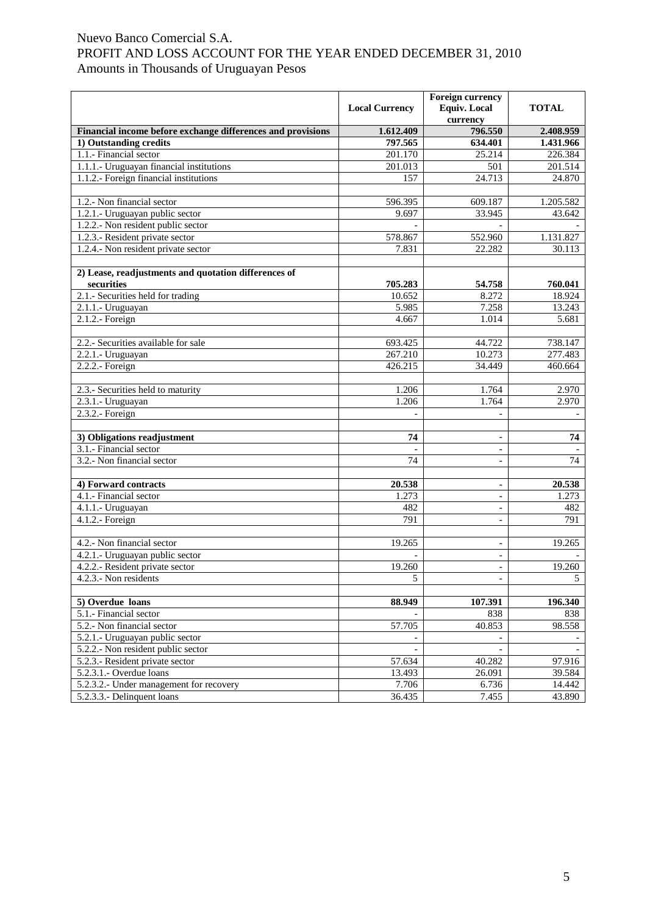|                                                             | <b>Foreign currency</b> |                                 |           |  |  |
|-------------------------------------------------------------|-------------------------|---------------------------------|-----------|--|--|
|                                                             | <b>Local Currency</b>   | <b>TOTAL</b>                    |           |  |  |
|                                                             |                         | <b>Equiv.</b> Local<br>currency |           |  |  |
| Financial income before exchange differences and provisions | 1.612.409               | 796.550                         | 2.408.959 |  |  |
| 1) Outstanding credits                                      | 797.565                 | 634.401                         | 1.431.966 |  |  |
| 1.1.- Financial sector                                      | 201.170                 | 25.214                          | 226.384   |  |  |
| 1.1.1.- Uruguayan financial institutions                    | 201.013                 | $\overline{501}$                | 201.514   |  |  |
| 1.1.2.- Foreign financial institutions                      | 157                     | 24.713                          | 24.870    |  |  |
|                                                             |                         |                                 |           |  |  |
| 1.2.- Non financial sector                                  | 596.395                 | 609.187                         | 1.205.582 |  |  |
| 1.2.1.- Uruguayan public sector                             | 9.697                   | 33.945                          | 43.642    |  |  |
| 1.2.2.- Non resident public sector                          |                         |                                 |           |  |  |
| 1.2.3.- Resident private sector                             | 578.867                 | 552.960                         | 1.131.827 |  |  |
| 1.2.4.- Non resident private sector                         | 7.831                   | 22.282                          | 30.113    |  |  |
|                                                             |                         |                                 |           |  |  |
| 2) Lease, readjustments and quotation differences of        |                         |                                 |           |  |  |
| securities                                                  | 705.283                 | 54.758                          | 760.041   |  |  |
| 2.1.- Securities held for trading                           | 10.652                  | 8.272                           | 18.924    |  |  |
| 2.1.1.- Uruguayan                                           | 5.985                   | 7.258                           | 13.243    |  |  |
| $2.1.2.$ - Foreign                                          | 4.667                   | 1.014                           | 5.681     |  |  |
|                                                             |                         |                                 |           |  |  |
| 2.2.- Securities available for sale                         | 693.425                 | 44.722                          | 738.147   |  |  |
| 2.2.1.- Uruguayan                                           | 267.210                 | 10.273                          | 277.483   |  |  |
| $2.2.2.$ - Foreign                                          | 426.215                 | 34.449                          | 460.664   |  |  |
|                                                             |                         |                                 |           |  |  |
| 2.3.- Securities held to maturity                           | 1.206                   | 1.764                           | 2.970     |  |  |
| 2.3.1.- Uruguayan                                           | 1.206                   | 1.764                           | 2.970     |  |  |
| $2.3.2.$ - Foreign                                          |                         |                                 |           |  |  |
|                                                             |                         |                                 |           |  |  |
| 3) Obligations readjustment                                 | 74                      | $\overline{\phantom{a}}$        | 74        |  |  |
| 3.1.- Financial sector                                      |                         | $\qquad \qquad \blacksquare$    |           |  |  |
| 3.2.- Non financial sector                                  | 74                      | $\overline{\phantom{a}}$        | 74        |  |  |
|                                                             |                         |                                 |           |  |  |
| 4) Forward contracts                                        | 20.538                  | $\overline{\phantom{a}}$        | 20.538    |  |  |
| 4.1.- Financial sector                                      | 1.273                   | $\overline{\phantom{a}}$        | 1.273     |  |  |
| 4.1.1.- Uruguayan                                           | 482                     | $\overline{\phantom{a}}$        | 482       |  |  |
| 4.1.2.- Foreign                                             | 791                     | $\overline{\phantom{a}}$        | 791       |  |  |
|                                                             |                         |                                 |           |  |  |
| 4.2.- Non financial sector                                  | 19.265                  | $\overline{\phantom{a}}$        | 19.265    |  |  |
| 4.2.1.- Uruguayan public sector                             |                         | $\overline{\phantom{a}}$        |           |  |  |
| 4.2.2.- Resident private sector                             | 19.260                  | $\overline{\phantom{a}}$        | 19.260    |  |  |
| 4.2.3.- Non residents                                       | 5                       |                                 | 5         |  |  |
|                                                             |                         |                                 |           |  |  |
| 5) Overdue loans                                            | 88.949                  | 107.391                         | 196.340   |  |  |
| 5.1.- Financial sector                                      |                         | 838                             | 838       |  |  |
| 5.2.- Non financial sector                                  | 57.705                  | 40.853                          | 98.558    |  |  |
| 5.2.1.- Uruguayan public sector                             |                         |                                 |           |  |  |
| 5.2.2.- Non resident public sector                          |                         |                                 |           |  |  |
| 5.2.3.- Resident private sector                             | 57.634                  | 40.282                          | 97.916    |  |  |
| 5.2.3.1.- Overdue loans                                     | 13.493                  | 26.091                          | 39.584    |  |  |
| 5.2.3.2.- Under management for recovery                     | 7.706                   | 6.736                           | 14.442    |  |  |
| 5.2.3.3.- Delinquent loans                                  | 36.435                  | 7.455                           | 43.890    |  |  |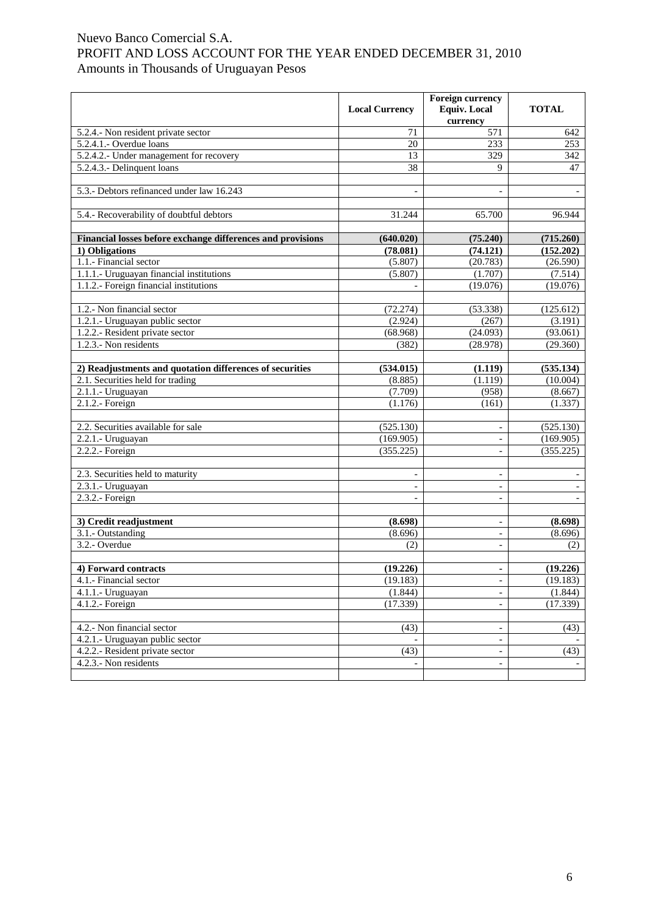|                                                             | <b>Foreign currency</b>  |                          |                |  |  |
|-------------------------------------------------------------|--------------------------|--------------------------|----------------|--|--|
|                                                             | <b>Local Currency</b>    | <b>Equiv.</b> Local      | <b>TOTAL</b>   |  |  |
|                                                             |                          | currency                 |                |  |  |
| 5.2.4.- Non resident private sector                         | 71                       | 571                      | 642            |  |  |
| 5.2.4.1.- Overdue loans                                     | 20                       | 233                      | 253            |  |  |
| 5.2.4.2.- Under management for recovery                     | 13                       | 329                      | 342            |  |  |
| 5.2.4.3.- Delinquent loans                                  | 38                       | $\mathbf Q$              | 47             |  |  |
|                                                             |                          |                          |                |  |  |
| 5.3.- Debtors refinanced under law 16.243                   | $\overline{a}$           | $\blacksquare$           | $\blacksquare$ |  |  |
|                                                             |                          |                          |                |  |  |
| 5.4.- Recoverability of doubtful debtors                    | 31.244                   | 65.700                   | 96.944         |  |  |
|                                                             |                          |                          |                |  |  |
| Financial losses before exchange differences and provisions | (640.020)                | (75.240)                 | (715.260)      |  |  |
| 1) Obligations                                              | (78.081)                 | (74.121)                 | (152.202)      |  |  |
| 1.1.- Financial sector                                      | (5.807)                  | (20.783)                 | (26.590)       |  |  |
| 1.1.1.- Uruguayan financial institutions                    | (5.807)                  | (1.707)                  | (7.514)        |  |  |
| 1.1.2.- Foreign financial institutions                      |                          | (19.076)                 | (19.076)       |  |  |
|                                                             |                          |                          |                |  |  |
| 1.2.- Non financial sector                                  | (72.274)                 | (53.338)                 | (125.612)      |  |  |
| 1.2.1.- Uruguayan public sector                             | (2.924)                  | (267)                    | (3.191)        |  |  |
| 1.2.2.- Resident private sector                             | (68.968)                 | (24.093)                 | (93.061)       |  |  |
| 1.2.3.- Non residents                                       | (382)                    | (28.978)                 | (29.360)       |  |  |
|                                                             |                          |                          |                |  |  |
| 2) Readjustments and quotation differences of securities    | (534.015)                | (1.119)                  | (535.134)      |  |  |
| 2.1. Securities held for trading                            | (8.885)                  | (1.119)                  | (10.004)       |  |  |
| 2.1.1.- Uruguayan                                           | (7.709)                  | (958)                    | (8.667)        |  |  |
| $2.\overline{1.2.}$ - Foreign                               | (1.176)                  | (161)                    | (1.337)        |  |  |
|                                                             |                          |                          |                |  |  |
| 2.2. Securities available for sale                          | (525.130)                |                          | (525.130)      |  |  |
| 2.2.1.- Uruguayan                                           | (169.905)                | $\overline{\phantom{a}}$ | (169.905)      |  |  |
| $2.2.2.$ - Foreign                                          | (355.225)                | $\overline{\phantom{a}}$ | (355.225)      |  |  |
|                                                             |                          |                          |                |  |  |
| 2.3. Securities held to maturity                            | $\overline{\phantom{a}}$ | $\overline{\phantom{a}}$ |                |  |  |
| 2.3.1.- Uruguayan                                           | $\overline{\phantom{a}}$ | $\overline{\phantom{a}}$ |                |  |  |
| 2.3.2.- Foreign                                             | $\overline{a}$           | $\frac{1}{2}$            |                |  |  |
|                                                             |                          |                          |                |  |  |
| 3) Credit readjustment                                      | (8.698)                  | $\overline{\phantom{a}}$ | (8.698)        |  |  |
| 3.1.- Outstanding                                           | (8.696)                  | $\overline{\phantom{a}}$ | (8.696)        |  |  |
| 3.2.- Overdue                                               | (2)                      | $\overline{\phantom{a}}$ | (2)            |  |  |
|                                                             |                          |                          |                |  |  |
| 4) Forward contracts                                        | (19.226)                 | $\blacksquare$           | (19.226)       |  |  |
| 4.1.- Financial sector                                      | (19.183)                 | $\overline{\phantom{a}}$ | (19.183)       |  |  |
| 4.1.1.- Uruguayan                                           | (1.844)                  | $\overline{\phantom{a}}$ | (1.844)        |  |  |
| 4.1.2.- Foreign                                             | (17.339)                 | $\blacksquare$           | (17.339)       |  |  |
|                                                             |                          |                          |                |  |  |
| 4.2.- Non financial sector                                  | (43)                     | $\overline{\phantom{a}}$ | (43)           |  |  |
| 4.2.1.- Uruguayan public sector                             |                          | $\overline{\phantom{a}}$ |                |  |  |
| 4.2.2.- Resident private sector                             | (43)                     | $\overline{\phantom{a}}$ | (43)           |  |  |
| 4.2.3.- Non residents                                       |                          | $\overline{\phantom{a}}$ |                |  |  |
|                                                             |                          |                          |                |  |  |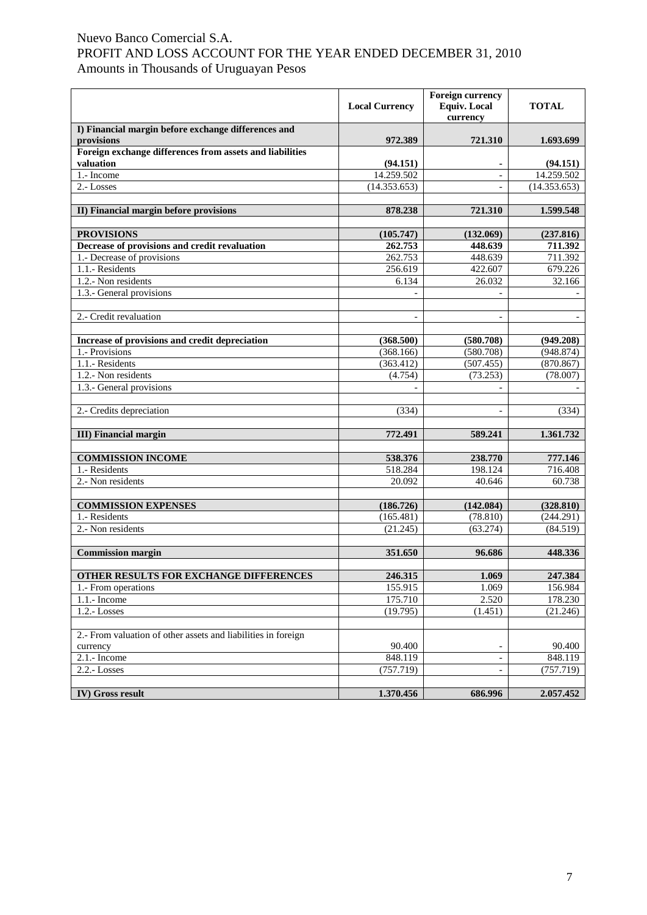|                                                               | <b>Foreign currency</b><br><b>Equiv.</b> Local<br><b>Local Currency</b><br>currency |                          | <b>TOTAL</b>             |  |
|---------------------------------------------------------------|-------------------------------------------------------------------------------------|--------------------------|--------------------------|--|
| I) Financial margin before exchange differences and           |                                                                                     |                          |                          |  |
| provisions                                                    | 972.389                                                                             | 721.310                  | 1.693.699                |  |
| Foreign exchange differences from assets and liabilities      |                                                                                     |                          |                          |  |
| valuation                                                     | (94.151)                                                                            |                          | (94.151)                 |  |
| 1.- Income                                                    | 14.259.502                                                                          | $\overline{\phantom{a}}$ | 14.259.502               |  |
| 2.-Losses                                                     | (14.353.653)                                                                        | $\overline{\phantom{a}}$ | (14.353.653)             |  |
|                                                               |                                                                                     |                          |                          |  |
| II) Financial margin before provisions                        | 878.238                                                                             | 721.310                  | 1.599.548                |  |
|                                                               |                                                                                     |                          |                          |  |
| <b>PROVISIONS</b>                                             | (105.747)                                                                           | (132.069)                | (237.816)                |  |
| Decrease of provisions and credit revaluation                 | 262.753                                                                             | 448.639                  | 711.392                  |  |
| 1.- Decrease of provisions                                    | 262.753                                                                             | 448.639                  | 711.392                  |  |
| 1.1.- Residents                                               | 256.619                                                                             | 422.607                  | 679.226                  |  |
| 1.2.- Non residents                                           | 6.134                                                                               | $26.\overline{032}$      | 32.166                   |  |
| 1.3.- General provisions                                      | $\overline{\phantom{a}}$                                                            | $\overline{\phantom{a}}$ |                          |  |
|                                                               |                                                                                     |                          |                          |  |
| 2.- Credit revaluation                                        | $\overline{\phantom{a}}$                                                            | $\overline{\phantom{a}}$ | $\overline{\phantom{a}}$ |  |
|                                                               |                                                                                     |                          |                          |  |
| Increase of provisions and credit depreciation                | (368.500)                                                                           | (580.708)                | (949.208)                |  |
| 1.- Provisions                                                | (368.166)                                                                           | (580.708)                | (948.874)                |  |
| 1.1.- Residents                                               | (363.412)                                                                           | (507.455)                | (870.867)                |  |
| 1.2.- Non residents                                           | (4.754)                                                                             | (73.253)                 | (78.007)                 |  |
| 1.3.- General provisions                                      |                                                                                     |                          |                          |  |
|                                                               |                                                                                     |                          |                          |  |
| 2.- Credits depreciation                                      | (334)                                                                               | $\overline{\phantom{a}}$ | (334)                    |  |
|                                                               |                                                                                     |                          |                          |  |
| <b>III)</b> Financial margin                                  | 772.491                                                                             | 589.241                  | 1.361.732                |  |
|                                                               |                                                                                     |                          |                          |  |
| <b>COMMISSION INCOME</b>                                      | 538.376                                                                             | 238.770                  | 777.146                  |  |
| 1.- Residents                                                 | 518.284                                                                             | 198.124                  | 716.408                  |  |
| 2.- Non residents                                             | 20.092                                                                              | 40.646                   | 60.738                   |  |
|                                                               |                                                                                     |                          |                          |  |
| <b>COMMISSION EXPENSES</b>                                    | (186.726)                                                                           | (142.084)                | (328.810)                |  |
| 1.- Residents                                                 | (165.481)                                                                           | (78.810)                 | (244.291)                |  |
| 2.- Non residents                                             | (21.245)                                                                            | (63.274)                 | (84.519)                 |  |
|                                                               |                                                                                     |                          |                          |  |
| <b>Commission margin</b>                                      | 351.650                                                                             | 96.686                   | 448.336                  |  |
|                                                               |                                                                                     |                          |                          |  |
| OTHER RESULTS FOR EXCHANGE DIFFERENCES                        | 246.315                                                                             | 1.069                    | 247.384                  |  |
| 1.- From operations                                           | 155.915                                                                             | 1.069                    | 156.984                  |  |
| $1.1$ . Income                                                | 175.710                                                                             | 2.520                    | 178.230                  |  |
| 1.2.-Losses                                                   | (19.795)                                                                            | (1.451)                  | (21.246)                 |  |
|                                                               |                                                                                     |                          |                          |  |
| 2.- From valuation of other assets and liabilities in foreign |                                                                                     |                          |                          |  |
| currency                                                      | 90.400                                                                              |                          | 90.400                   |  |
| 2.1.- Income                                                  | 848.119                                                                             | $\overline{\phantom{a}}$ | 848.119                  |  |
| 2.2.-Losses                                                   | (757.719)                                                                           | $\overline{\phantom{a}}$ | (757.719)                |  |
|                                                               |                                                                                     |                          |                          |  |
| IV) Gross result                                              | 1.370.456                                                                           | 686.996                  | 2.057.452                |  |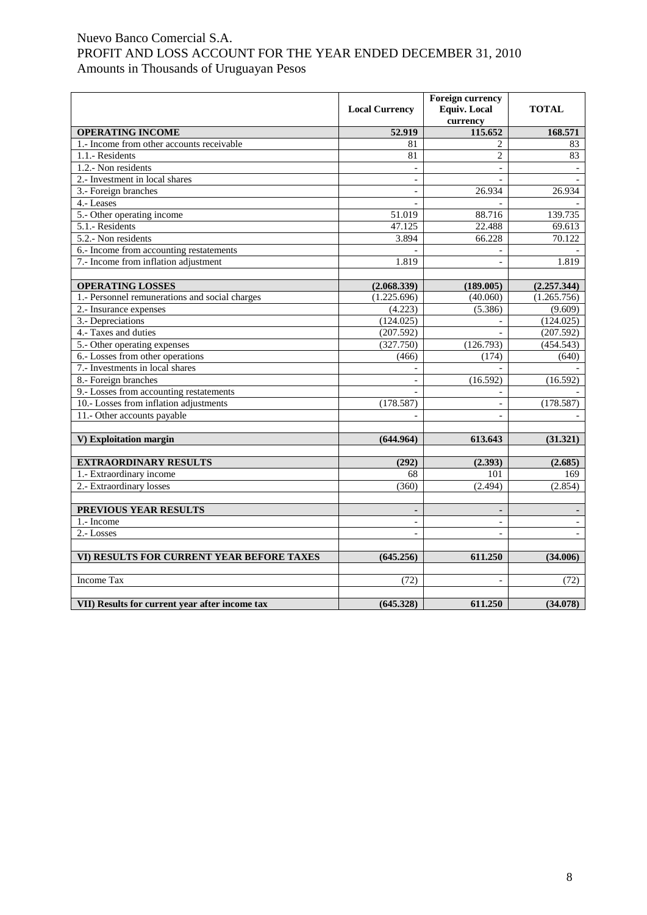|                                                | <b>Local Currency</b>    | <b>Foreign currency</b><br><b>Equiv.</b> Local<br>currency | <b>TOTAL</b> |
|------------------------------------------------|--------------------------|------------------------------------------------------------|--------------|
| <b>OPERATING INCOME</b>                        | 52.919                   | 115.652                                                    | 168.571      |
| 1.- Income from other accounts receivable      | 81                       | 2                                                          | 83           |
| 1.1.- Residents                                | 81                       | $\overline{2}$                                             | 83           |
| 1.2.- Non residents                            |                          |                                                            |              |
| 2.- Investment in local shares                 |                          |                                                            |              |
| 3.- Foreign branches                           | $\overline{\phantom{a}}$ | 26.934                                                     | 26.934       |
| 4.-Leases                                      |                          |                                                            |              |
| 5.- Other operating income                     | 51.019                   | 88.716                                                     | 139.735      |
| 5.1.- Residents                                | 47.125                   | 22.488                                                     | 69.613       |
| 5.2.- Non residents                            | 3.894                    | 66.228                                                     | 70.122       |
| 6.- Income from accounting restatements        |                          |                                                            |              |
| 7.- Income from inflation adjustment           | 1.819                    |                                                            | 1.819        |
|                                                |                          |                                                            |              |
| <b>OPERATING LOSSES</b>                        | (2.068.339)              | (189.005)                                                  | (2.257.344)  |
| 1.- Personnel remunerations and social charges | (1.225.696)              | (40.060)                                                   | (1.265.756)  |
| 2.- Insurance expenses                         | (4.223)                  | (5.386)                                                    | (9.609)      |
| 3.- Depreciations                              | (124.025)                |                                                            | (124.025)    |
| 4.- Taxes and duties                           | (207.592)                |                                                            | (207.592)    |
| 5.- Other operating expenses                   | (327.750)                | (126.793)                                                  | (454.543)    |
| 6.- Losses from other operations               | (466)                    | (174)                                                      | (640)        |
| 7.- Investments in local shares                |                          |                                                            |              |
| 8.- Foreign branches                           | $\overline{a}$           | (16.592)                                                   | (16.592)     |
| 9.- Losses from accounting restatements        |                          |                                                            |              |
| 10.- Losses from inflation adjustments         | (178.587)                | $\overline{\phantom{a}}$                                   | (178.587)    |
| 11.- Other accounts payable                    |                          |                                                            |              |
|                                                |                          |                                                            |              |
| V) Exploitation margin                         | (644.964)                | 613.643                                                    | (31.321)     |
|                                                |                          |                                                            |              |
| <b>EXTRAORDINARY RESULTS</b>                   | (292)                    | (2.393)                                                    | (2.685)      |
| 1.- Extraordinary income                       | 68                       | 101                                                        | 169          |
| 2.- Extraordinary losses                       | (360)                    | (2.494)                                                    | (2.854)      |
|                                                |                          |                                                            |              |
| PREVIOUS YEAR RESULTS                          |                          | $\blacksquare$                                             |              |
| 1.- Income                                     | $\overline{\phantom{a}}$ | $\sim$                                                     |              |
| 2.-Losses                                      | $\overline{a}$           | $\overline{a}$                                             | $\mathbf{r}$ |
|                                                |                          |                                                            |              |
| VI) RESULTS FOR CURRENT YEAR BEFORE TAXES      | (645.256)                | 611.250                                                    | (34.006)     |
|                                                |                          |                                                            |              |
| <b>Income Tax</b>                              | (72)                     | $\blacksquare$                                             | (72)         |
|                                                |                          |                                                            |              |
| VII) Results for current year after income tax | (645.328)                | 611.250                                                    | (34.078)     |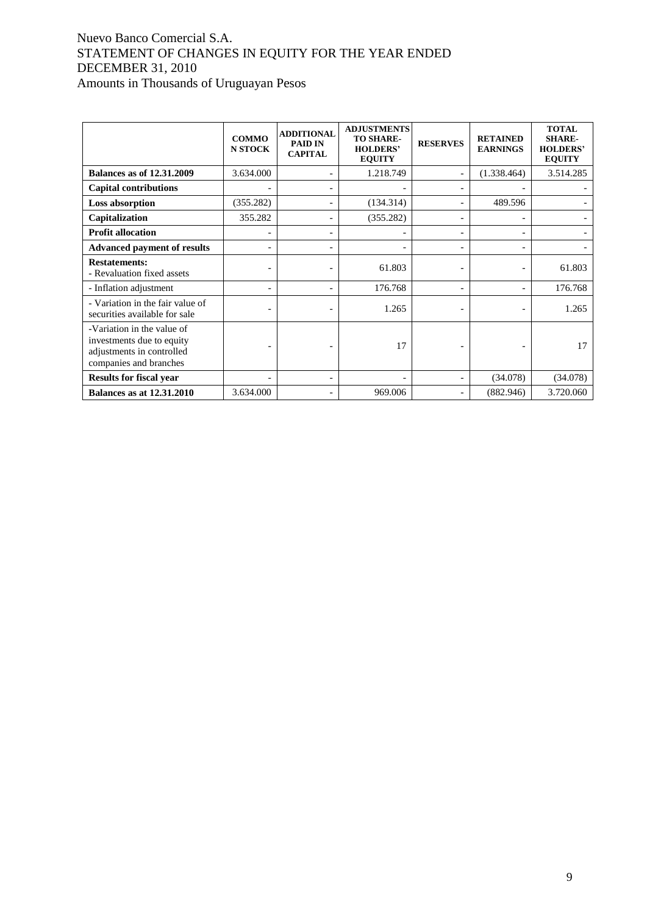### Nuevo Banco Comercial S.A. STATEMENT OF CHANGES IN EQUITY FOR THE YEAR ENDED DECEMBER 31, 2010 Amounts in Thousands of Uruguayan Pesos

|                                                                                                                | <b>COMMO</b><br><b>N STOCK</b> | <b>ADDITIONAL</b><br><b>PAID IN</b><br><b>CAPITAL</b> | <b>ADJUSTMENTS</b><br><b>TO SHARE-</b><br><b>HOLDERS'</b><br><b>EQUITY</b> | <b>RESERVES</b>          | <b>RETAINED</b><br><b>EARNINGS</b> | <b>TOTAL</b><br><b>SHARE-</b><br><b>HOLDERS'</b><br><b>EQUITY</b> |
|----------------------------------------------------------------------------------------------------------------|--------------------------------|-------------------------------------------------------|----------------------------------------------------------------------------|--------------------------|------------------------------------|-------------------------------------------------------------------|
| <b>Balances as of 12.31.2009</b>                                                                               | 3.634.000                      | -                                                     | 1.218.749                                                                  | $\overline{\phantom{a}}$ | (1.338.464)                        | 3.514.285                                                         |
| <b>Capital contributions</b>                                                                                   |                                | ۳                                                     | ۰                                                                          |                          |                                    |                                                                   |
| <b>Loss absorption</b>                                                                                         | (355.282)                      | $\overline{\phantom{a}}$                              | (134.314)                                                                  |                          | 489.596                            |                                                                   |
| Capitalization                                                                                                 | 355.282                        | $\overline{\phantom{0}}$                              | (355.282)                                                                  |                          |                                    |                                                                   |
| <b>Profit allocation</b>                                                                                       |                                | -                                                     | $\overline{\phantom{0}}$                                                   | $\overline{\phantom{a}}$ |                                    |                                                                   |
| <b>Advanced payment of results</b>                                                                             | $\overline{\phantom{0}}$       | -                                                     | $\overline{\phantom{0}}$                                                   | $\overline{\phantom{a}}$ |                                    |                                                                   |
| <b>Restatements:</b><br>- Revaluation fixed assets                                                             |                                |                                                       | 61.803                                                                     |                          |                                    | 61.803                                                            |
| - Inflation adjustment                                                                                         |                                | $\overline{\phantom{0}}$                              | 176.768                                                                    | $\overline{\phantom{a}}$ |                                    | 176.768                                                           |
| - Variation in the fair value of<br>securities available for sale                                              |                                |                                                       | 1.265                                                                      |                          |                                    | 1.265                                                             |
| -Variation in the value of<br>investments due to equity<br>adjustments in controlled<br>companies and branches |                                |                                                       | 17                                                                         |                          |                                    | 17                                                                |
| <b>Results for fiscal year</b>                                                                                 |                                | $\overline{\phantom{a}}$                              | $\overline{\phantom{0}}$                                                   |                          | (34.078)                           | (34.078)                                                          |
| <b>Balances as at 12.31.2010</b>                                                                               | 3.634.000                      | $\overline{\phantom{a}}$                              | 969.006                                                                    | $\overline{\phantom{a}}$ | (882.946)                          | 3.720.060                                                         |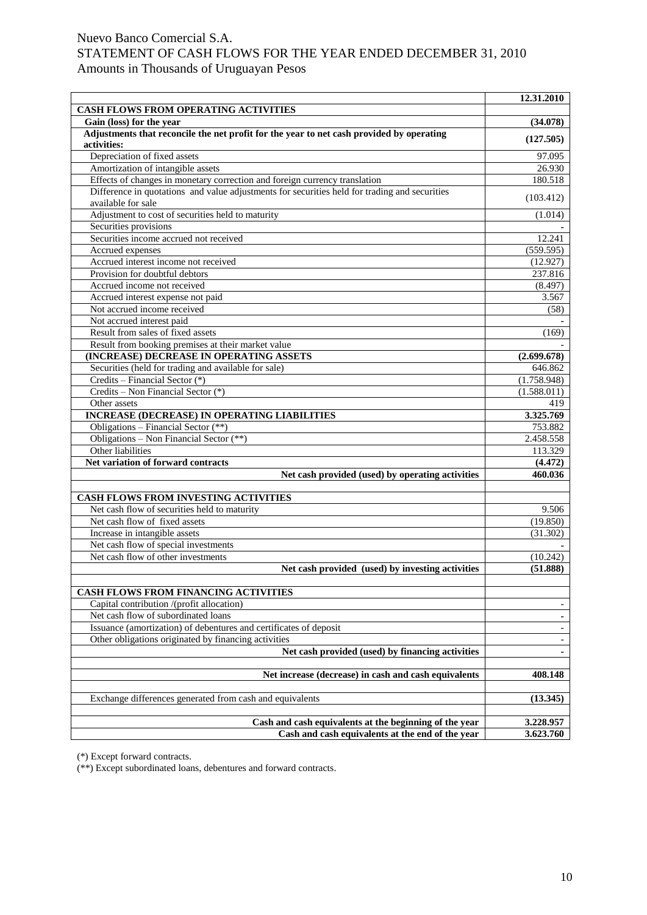## Nuevo Banco Comercial S.A. STATEMENT OF CASH FLOWS FOR THE YEAR ENDED DECEMBER 31, 2010 Amounts in Thousands of Uruguayan Pesos

|                                                                                                            | 12.31.2010             |
|------------------------------------------------------------------------------------------------------------|------------------------|
| CASH FLOWS FROM OPERATING ACTIVITIES                                                                       |                        |
| Gain (loss) for the year                                                                                   | (34.078)               |
| Adjustments that reconcile the net profit for the year to net cash provided by operating<br>activities:    | (127.505)              |
| Depreciation of fixed assets                                                                               | 97.095                 |
| Amortization of intangible assets                                                                          | 26.930                 |
| Effects of changes in monetary correction and foreign currency translation                                 | 180.518                |
| Difference in quotations and value adjustments for securities held for trading and securities              |                        |
| available for sale                                                                                         | (103.412)              |
| Adjustment to cost of securities held to maturity                                                          | (1.014)                |
| Securities provisions                                                                                      |                        |
| Securities income accrued not received                                                                     | 12.241                 |
| Accrued expenses                                                                                           | (559.595)              |
| Accrued interest income not received                                                                       | (12.927)               |
| Provision for doubtful debtors                                                                             | 237.816                |
| Accrued income not received                                                                                | (8.497)                |
| Accrued interest expense not paid                                                                          | 3.567                  |
| Not accrued income received                                                                                | (58)                   |
| Not accrued interest paid                                                                                  |                        |
| Result from sales of fixed assets                                                                          | (169)                  |
| Result from booking premises at their market value                                                         |                        |
| (INCREASE) DECREASE IN OPERATING ASSETS                                                                    | (2.699.678)            |
| Securities (held for trading and available for sale)                                                       | 646.862                |
| Credits - Financial Sector (*)                                                                             | (1.758.948)            |
| Credits - Non Financial Sector (*)                                                                         | (1.588.011)            |
| Other assets                                                                                               | 419                    |
| <b>INCREASE (DECREASE) IN OPERATING LIABILITIES</b>                                                        | 3.325.769              |
| Obligations - Financial Sector (**)                                                                        | 753.882                |
| Obligations - Non Financial Sector (**)                                                                    | 2.458.558              |
| Other liabilities                                                                                          | 113.329                |
| Net variation of forward contracts                                                                         | (4.472)                |
| Net cash provided (used) by operating activities                                                           | 460.036                |
| CASH FLOWS FROM INVESTING ACTIVITIES                                                                       |                        |
| Net cash flow of securities held to maturity                                                               | 9.506                  |
| Net cash flow of fixed assets                                                                              | (19.850)               |
| Increase in intangible assets                                                                              | (31.302)               |
| Net cash flow of special investments                                                                       |                        |
| Net cash flow of other investments                                                                         | (10.242)               |
| Net cash provided (used) by investing activities                                                           | (51.888)               |
|                                                                                                            |                        |
| CASH FLOWS FROM FINANCING ACTIVITIES                                                                       |                        |
| Capital contribution /(profit allocation)                                                                  |                        |
| Net cash flow of subordinated loans                                                                        | ٠                      |
| Issuance (amortization) of debentures and certificates of deposit                                          |                        |
| Other obligations originated by financing activities                                                       |                        |
| Net cash provided (used) by financing activities                                                           |                        |
|                                                                                                            |                        |
| Net increase (decrease) in cash and cash equivalents                                                       | 408.148                |
|                                                                                                            |                        |
| Exchange differences generated from cash and equivalents                                                   | (13.345)               |
|                                                                                                            |                        |
| Cash and cash equivalents at the beginning of the year<br>Cash and cash equivalents at the end of the year | 3.228.957<br>3.623.760 |
|                                                                                                            |                        |

(\*) Except forward contracts.

(\*\*) Except subordinated loans, debentures and forward contracts.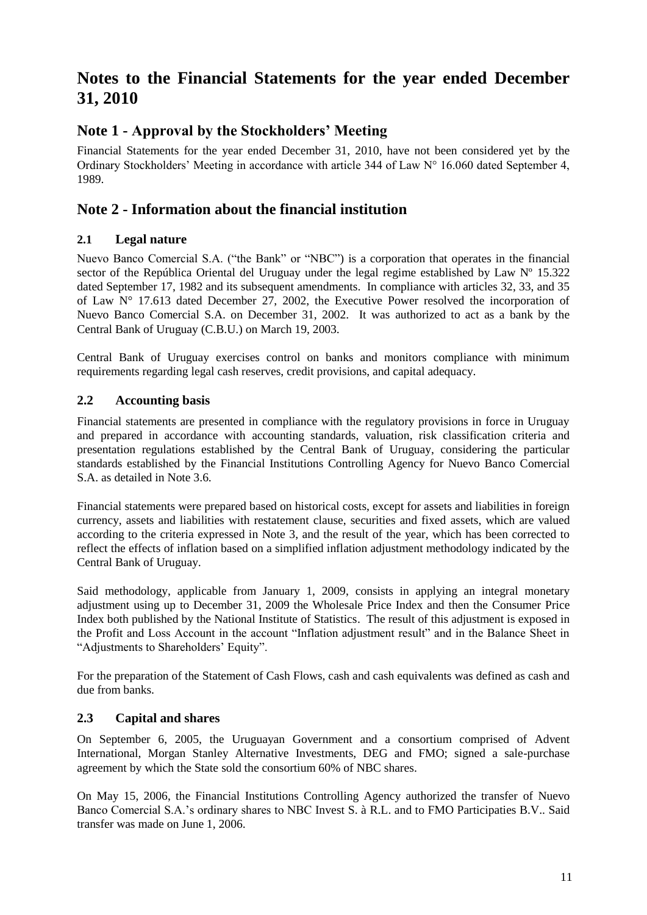# **Notes to the Financial Statements for the year ended December 31, 2010**

## **Note 1 - Approval by the Stockholders' Meeting**

Financial Statements for the year ended December 31, 2010, have not been considered yet by the Ordinary Stockholders' Meeting in accordance with article 344 of Law N° 16.060 dated September 4, 1989.

## **Note 2 - Information about the financial institution**

### **2.1 Legal nature**

Nuevo Banco Comercial S.A. ("the Bank" or "NBC") is a corporation that operates in the financial sector of the República Oriental del Uruguay under the legal regime established by Law N° 15.322 dated September 17, 1982 and its subsequent amendments. In compliance with articles 32, 33, and 35 of Law N° 17.613 dated December 27, 2002, the Executive Power resolved the incorporation of Nuevo Banco Comercial S.A. on December 31, 2002. It was authorized to act as a bank by the Central Bank of Uruguay (C.B.U.) on March 19, 2003.

Central Bank of Uruguay exercises control on banks and monitors compliance with minimum requirements regarding legal cash reserves, credit provisions, and capital adequacy.

### **2.2 Accounting basis**

Financial statements are presented in compliance with the regulatory provisions in force in Uruguay and prepared in accordance with accounting standards, valuation, risk classification criteria and presentation regulations established by the Central Bank of Uruguay, considering the particular standards established by the Financial Institutions Controlling Agency for Nuevo Banco Comercial S.A. as detailed in Note 3.6.

Financial statements were prepared based on historical costs, except for assets and liabilities in foreign currency, assets and liabilities with restatement clause, securities and fixed assets, which are valued according to the criteria expressed in Note 3, and the result of the year, which has been corrected to reflect the effects of inflation based on a simplified inflation adjustment methodology indicated by the Central Bank of Uruguay.

Said methodology, applicable from January 1, 2009, consists in applying an integral monetary adjustment using up to December 31, 2009 the Wholesale Price Index and then the Consumer Price Index both published by the National Institute of Statistics. The result of this adjustment is exposed in the Profit and Loss Account in the account "Inflation adjustment result" and in the Balance Sheet in "Adjustments to Shareholders' Equity".

For the preparation of the Statement of Cash Flows, cash and cash equivalents was defined as cash and due from banks.

## **2.3 Capital and shares**

On September 6, 2005, the Uruguayan Government and a consortium comprised of Advent International, Morgan Stanley Alternative Investments, DEG and FMO; signed a sale-purchase agreement by which the State sold the consortium 60% of NBC shares.

On May 15, 2006, the Financial Institutions Controlling Agency authorized the transfer of Nuevo Banco Comercial S.A.'s ordinary shares to NBC Invest S. à R.L. and to FMO Participaties B.V.. Said transfer was made on June 1, 2006.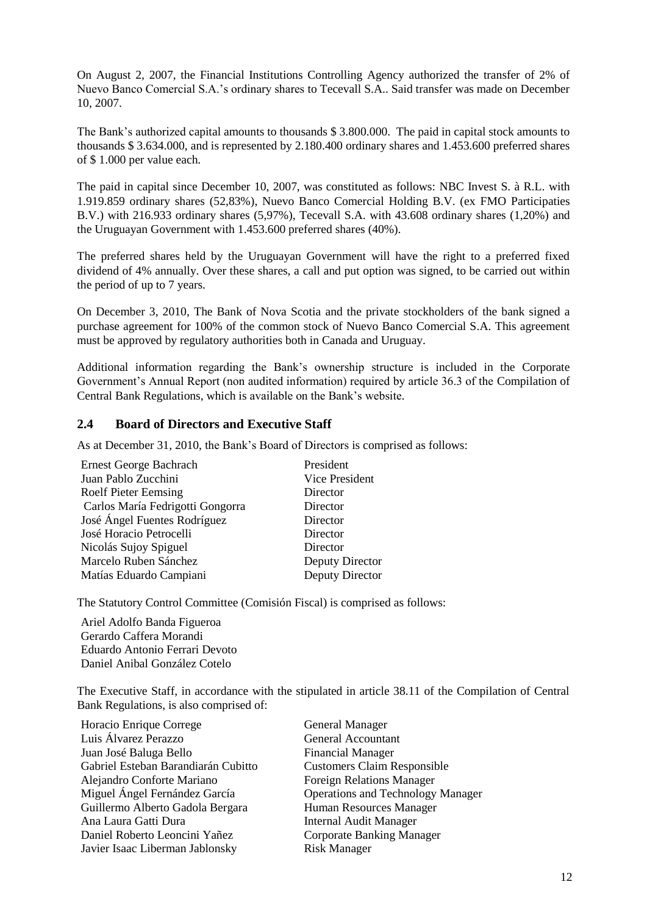On August 2, 2007, the Financial Institutions Controlling Agency authorized the transfer of 2% of Nuevo Banco Comercial S.A.'s ordinary shares to Tecevall S.A.. Said transfer was made on December 10, 2007.

The Bank's authorized capital amounts to thousands \$ 3.800.000. The paid in capital stock amounts to thousands \$ 3.634.000, and is represented by 2.180.400 ordinary shares and 1.453.600 preferred shares of \$ 1.000 per value each.

The paid in capital since December 10, 2007, was constituted as follows: NBC Invest S. à R.L. with 1.919.859 ordinary shares (52,83%), Nuevo Banco Comercial Holding B.V. (ex FMO Participaties B.V.) with 216.933 ordinary shares (5,97%), Tecevall S.A. with 43.608 ordinary shares (1,20%) and the Uruguayan Government with 1.453.600 preferred shares (40%).

The preferred shares held by the Uruguayan Government will have the right to a preferred fixed dividend of 4% annually. Over these shares, a call and put option was signed, to be carried out within the period of up to 7 years.

On December 3, 2010, The Bank of Nova Scotia and the private stockholders of the bank signed a purchase agreement for 100% of the common stock of Nuevo Banco Comercial S.A. This agreement must be approved by regulatory authorities both in Canada and Uruguay.

Additional information regarding the Bank's ownership structure is included in the Corporate Government's Annual Report (non audited information) required by article 36.3 of the Compilation of Central Bank Regulations, which is available on the Bank's website.

### **2.4 Board of Directors and Executive Staff**

As at December 31, 2010, the Bank's Board of Directors is comprised as follows:

| Ernest George Bachrach           | President       |
|----------------------------------|-----------------|
| Juan Pablo Zucchini              | Vice President  |
| <b>Roelf Pieter Eemsing</b>      | Director        |
| Carlos María Fedrigotti Gongorra | Director        |
| José Ángel Fuentes Rodríguez     | Director        |
| José Horacio Petrocelli          | Director        |
| Nicolás Sujoy Spiguel            | Director        |
| Marcelo Ruben Sánchez            | Deputy Director |
| Matías Eduardo Campiani          | Deputy Director |

The Statutory Control Committee (Comisión Fiscal) is comprised as follows:

Ariel Adolfo Banda Figueroa Gerardo Caffera Morandi Eduardo Antonio Ferrari Devoto Daniel Anibal González Cotelo

The Executive Staff, in accordance with the stipulated in article 38.11 of the Compilation of Central Bank Regulations, is also comprised of:

Horacio Enrique Correge General Manager Luis Álvarez Perazzo General Accountant Juan José Baluga Bello Financial Manager Gabriel Esteban Barandiarán Cubitto Customers Claim Responsible<br>Alejandro Conforte Mariano Foreign Relations Manager Alejandro Conforte Mariano Guillermo Alberto Gadola Bergara Human Resources Manager Ana Laura Gatti Dura **Internal Audit Manager** Daniel Roberto Leoncini Yañez Corporate Banking Manager Javier Isaac Liberman Jablonsky Risk Manager

Miguel Ángel Fernández García Operations and Technology Manager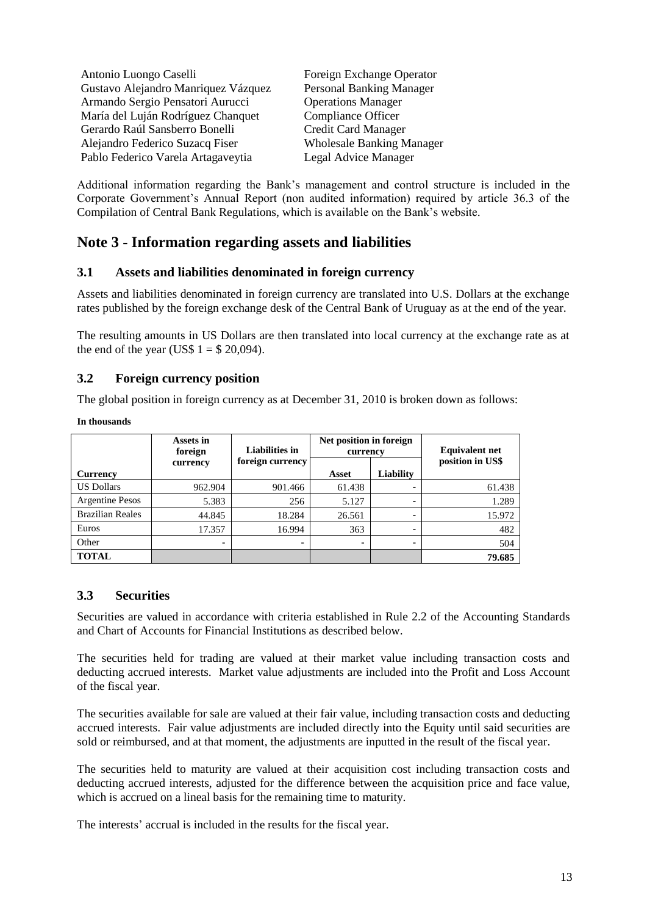| Antonio Luongo Caselli              | Foreign Exchange Operator        |
|-------------------------------------|----------------------------------|
| Gustavo Alejandro Manriquez Vázquez | Personal Banking Manager         |
| Armando Sergio Pensatori Aurucci    | <b>Operations Manager</b>        |
| María del Luján Rodríguez Chanquet  | Compliance Officer               |
| Gerardo Raúl Sansberro Bonelli      | <b>Credit Card Manager</b>       |
| Alejandro Federico Suzacq Fiser     | <b>Wholesale Banking Manager</b> |
| Pablo Federico Varela Artagaveytia  | Legal Advice Manager             |

Additional information regarding the Bank's management and control structure is included in the Corporate Government's Annual Report (non audited information) required by article 36.3 of the Compilation of Central Bank Regulations, which is available on the Bank's website.

## **Note 3 - Information regarding assets and liabilities**

### **3.1 Assets and liabilities denominated in foreign currency**

Assets and liabilities denominated in foreign currency are translated into U.S. Dollars at the exchange rates published by the foreign exchange desk of the Central Bank of Uruguay as at the end of the year.

The resulting amounts in US Dollars are then translated into local currency at the exchange rate as at the end of the year (US\$  $1 = $20,094$ ).

#### **3.2 Foreign currency position**

The global position in foreign currency as at December 31, 2010 is broken down as follows:

**In thousands**

|                         | Assets in<br>foreign | <b>Liabilities in</b> | Net position in foreign<br>currency |           | <b>Equivalent net</b> |
|-------------------------|----------------------|-----------------------|-------------------------------------|-----------|-----------------------|
|                         | currency             | foreign currency      |                                     |           | position in US\$      |
| Currency                |                      |                       | Asset                               | Liability |                       |
| <b>US Dollars</b>       | 962.904              | 901.466               | 61.438                              |           | 61.438                |
| Argentine Pesos         | 5.383                | 256                   | 5.127                               |           | 1.289                 |
| <b>Brazilian Reales</b> | 44.845               | 18.284                | 26.561                              |           | 15.972                |
| Euros                   | 17.357               | 16.994                | 363                                 |           | 482                   |
| Other                   | $\blacksquare$       |                       | ۰                                   |           | 504                   |
| TOTAL                   |                      |                       |                                     |           | 79.685                |

#### **3.3 Securities**

Securities are valued in accordance with criteria established in Rule 2.2 of the Accounting Standards and Chart of Accounts for Financial Institutions as described below.

The securities held for trading are valued at their market value including transaction costs and deducting accrued interests. Market value adjustments are included into the Profit and Loss Account of the fiscal year.

The securities available for sale are valued at their fair value, including transaction costs and deducting accrued interests. Fair value adjustments are included directly into the Equity until said securities are sold or reimbursed, and at that moment, the adjustments are inputted in the result of the fiscal year.

The securities held to maturity are valued at their acquisition cost including transaction costs and deducting accrued interests, adjusted for the difference between the acquisition price and face value, which is accrued on a lineal basis for the remaining time to maturity.

The interests' accrual is included in the results for the fiscal year.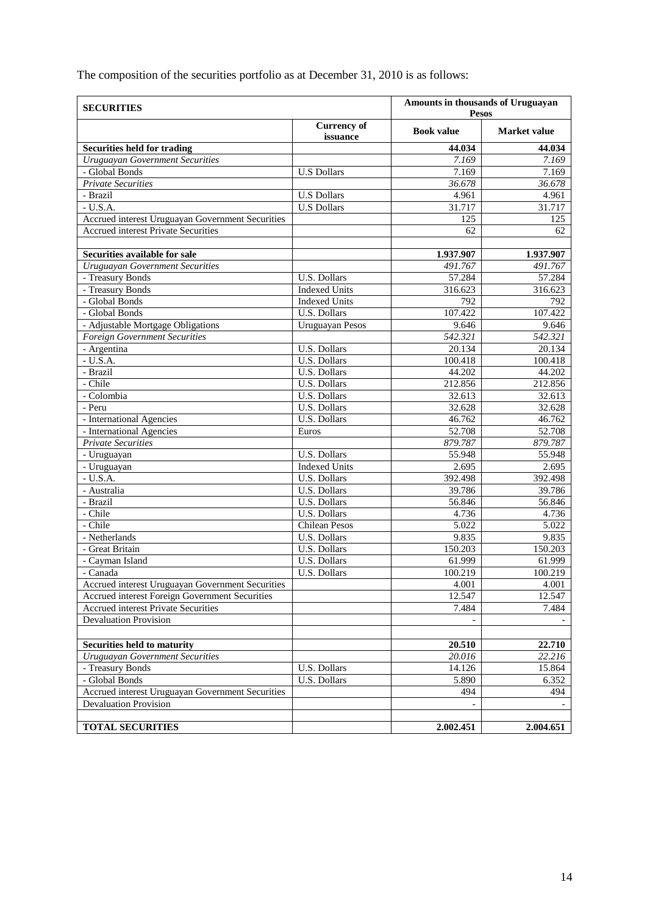The composition of the securities portfolio as at December 31, 2010 is as follows:

| <b>SECURITIES</b>                                |                                | Amounts in thousands of Uruguayan<br><b>Pesos</b> |              |
|--------------------------------------------------|--------------------------------|---------------------------------------------------|--------------|
|                                                  | <b>Currency of</b><br>issuance | <b>Book value</b>                                 | Market value |
| <b>Securities held for trading</b>               |                                | 44.034                                            | 44.034       |
| <b>Uruguayan Government Securities</b>           |                                | 7.169                                             | 7.169        |
| - Global Bonds                                   | <b>U.S Dollars</b>             | 7.169                                             | 7.169        |
| <b>Private Securities</b>                        |                                | 36.678                                            | 36.678       |
| - Brazil                                         | <b>U.S Dollars</b>             | 4.961                                             | 4.961        |
| $- U.S.A.$                                       | <b>U.S Dollars</b>             | 31.717                                            | 31.717       |
| Accrued interest Uruguayan Government Securities |                                | 125                                               | 125          |
| <b>Accrued interest Private Securities</b>       |                                | 62                                                | 62           |
|                                                  |                                |                                                   |              |
| Securities available for sale                    |                                | 1.937.907                                         | 1.937.907    |
| <b>Uruguayan Government Securities</b>           |                                | 491.767                                           | 491.767      |
| - Treasury Bonds                                 | U.S. Dollars                   | 57.284                                            | 57.284       |
| - Treasury Bonds                                 | <b>Indexed Units</b>           | 316.623                                           | 316.623      |
| - Global Bonds                                   | <b>Indexed Units</b>           | 792                                               | 792          |
| - Global Bonds                                   | <b>U.S. Dollars</b>            | 107.422                                           | 107.422      |
| - Adjustable Mortgage Obligations                | <b>Uruguayan Pesos</b>         | 9.646                                             | 9.646        |
| <b>Foreign Government Securities</b>             |                                | 542.321                                           | 542.321      |
| - Argentina                                      | U.S. Dollars                   | 20.134                                            | 20.134       |
| $- U.S.A.$                                       | <b>U.S. Dollars</b>            | 100.418                                           | 100.418      |
| - Brazil                                         | <b>U.S. Dollars</b>            | 44.202                                            | 44.202       |
| - Chile                                          | U.S. Dollars                   | 212.856                                           | 212.856      |
| - Colombia                                       | <b>U.S. Dollars</b>            | 32.613                                            | 32.613       |
| - Peru                                           | U.S. Dollars                   | 32.628                                            | 32.628       |
| - International Agencies                         | <b>U.S. Dollars</b>            | 46.762                                            | 46.762       |
| - International Agencies                         | Euros                          | 52.708                                            | 52.708       |
| <b>Private Securities</b>                        |                                | 879.787                                           | 879.787      |
| - Uruguayan                                      | <b>U.S. Dollars</b>            | 55.948                                            | 55.948       |
| - Uruguayan                                      | <b>Indexed Units</b>           | 2.695                                             | 2.695        |
| $-$ U.S.A.                                       | U.S. Dollars                   | 392.498                                           | 392.498      |
| - Australia                                      | <b>U.S. Dollars</b>            | 39.786                                            | 39.786       |
| - Brazil                                         | <b>U.S. Dollars</b>            | 56.846                                            | 56.846       |
| - Chile                                          | <b>U.S. Dollars</b>            | 4.736                                             | 4.736        |
| - Chile                                          | <b>Chilean Pesos</b>           | 5.022                                             | 5.022        |
| - Netherlands                                    | U.S. Dollars                   | 9.835                                             | 9.835        |
| - Great Britain                                  | U.S. Dollars                   | 150.203                                           | 150.203      |
| - Cayman Island                                  | U.S. Dollars                   | 61.999                                            | 61.999       |
| - Canada                                         | U.S. Dollars                   | 100.219                                           | 100.219      |
| Accrued interest Uruguayan Government Securities |                                | 4.001                                             | 4.001        |
| Accrued interest Foreign Government Securities   |                                | 12.547                                            | 12.547       |
| <b>Accrued interest Private Securities</b>       |                                | 7.484                                             | 7.484        |
| <b>Devaluation Provision</b>                     |                                |                                                   |              |
| Securities held to maturity                      |                                | 20.510                                            | 22.710       |
| <b>Uruguayan Government Securities</b>           |                                | 20.016                                            | 22.216       |
| - Treasury Bonds                                 | U.S. Dollars                   | 14.126                                            | 15.864       |
| - Global Bonds                                   | U.S. Dollars                   | 5.890                                             | 6.352        |
| Accrued interest Uruguayan Government Securities |                                | 494                                               | 494          |
| <b>Devaluation Provision</b>                     |                                |                                                   |              |
| <b>TOTAL SECURITIES</b>                          |                                | 2.002.451                                         | 2.004.651    |
|                                                  |                                |                                                   |              |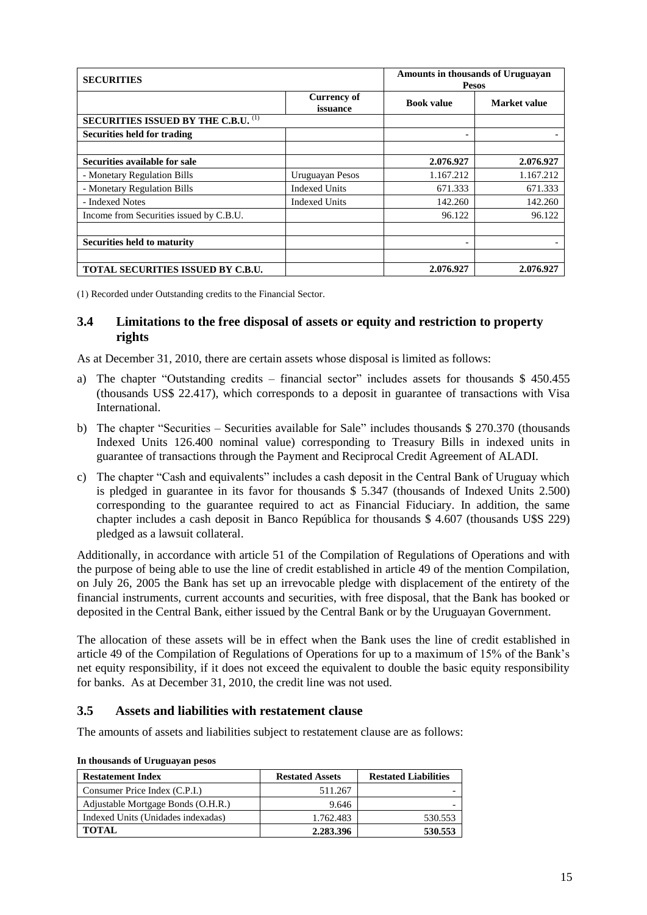| <b>SECURITIES</b>                              |                                | Amounts in thousands of Uruguayan<br><b>Pesos</b> |                     |
|------------------------------------------------|--------------------------------|---------------------------------------------------|---------------------|
|                                                | <b>Currency of</b><br>issuance | <b>Book value</b>                                 | <b>Market value</b> |
| SECURITIES ISSUED BY THE C.B.U. <sup>(1)</sup> |                                |                                                   |                     |
| Securities held for trading                    |                                |                                                   |                     |
|                                                |                                |                                                   |                     |
| Securities available for sale                  |                                | 2.076.927                                         | 2.076.927           |
| - Monetary Regulation Bills                    | Uruguayan Pesos                | 1.167.212                                         | 1.167.212           |
| - Monetary Regulation Bills                    | <b>Indexed Units</b>           | 671.333                                           | 671.333             |
| - Indexed Notes                                | <b>Indexed Units</b>           | 142.260                                           | 142.260             |
| Income from Securities issued by C.B.U.        |                                | 96.122                                            | 96.122              |
|                                                |                                |                                                   |                     |
| Securities held to maturity                    |                                |                                                   |                     |
|                                                |                                |                                                   |                     |
| <b>TOTAL SECURITIES ISSUED BY C.B.U.</b>       |                                | 2.076.927                                         | 2.076.927           |

(1) Recorded under Outstanding credits to the Financial Sector.

### **3.4 Limitations to the free disposal of assets or equity and restriction to property rights**

As at December 31, 2010, there are certain assets whose disposal is limited as follows:

- a) The chapter "Outstanding credits financial sector" includes assets for thousands \$ 450.455 (thousands US\$ 22.417), which corresponds to a deposit in guarantee of transactions with Visa International.
- b) The chapter "Securities Securities available for Sale" includes thousands \$ 270.370 (thousands Indexed Units 126.400 nominal value) corresponding to Treasury Bills in indexed units in guarantee of transactions through the Payment and Reciprocal Credit Agreement of ALADI.
- c) The chapter "Cash and equivalents" includes a cash deposit in the Central Bank of Uruguay which is pledged in guarantee in its favor for thousands \$ 5.347 (thousands of Indexed Units 2.500) corresponding to the guarantee required to act as Financial Fiduciary. In addition, the same chapter includes a cash deposit in Banco República for thousands \$ 4.607 (thousands U\$S 229) pledged as a lawsuit collateral.

Additionally, in accordance with article 51 of the Compilation of Regulations of Operations and with the purpose of being able to use the line of credit established in article 49 of the mention Compilation, on July 26, 2005 the Bank has set up an irrevocable pledge with displacement of the entirety of the financial instruments, current accounts and securities, with free disposal, that the Bank has booked or deposited in the Central Bank, either issued by the Central Bank or by the Uruguayan Government.

The allocation of these assets will be in effect when the Bank uses the line of credit established in article 49 of the Compilation of Regulations of Operations for up to a maximum of 15% of the Bank's net equity responsibility, if it does not exceed the equivalent to double the basic equity responsibility for banks. As at December 31, 2010, the credit line was not used.

#### **3.5 Assets and liabilities with restatement clause**

The amounts of assets and liabilities subject to restatement clause are as follows:

| <b>Restatement Index</b>           | <b>Restated Assets</b> | <b>Restated Liabilities</b> |
|------------------------------------|------------------------|-----------------------------|
| Consumer Price Index (C.P.I.)      | 511.267                |                             |
| Adjustable Mortgage Bonds (O.H.R.) | 9.646                  |                             |
| Indexed Units (Unidades indexadas) | 1.762.483              | 530.553                     |
| <b>TOTAL</b>                       | 2.283.396              | 530.553                     |

**In thousands of Uruguayan pesos**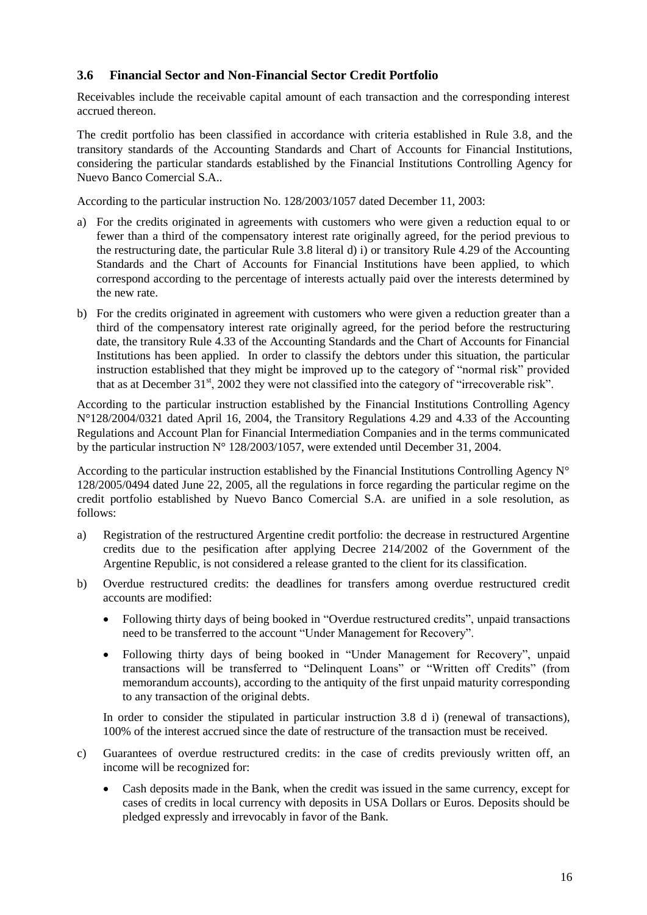### **3.6 Financial Sector and Non-Financial Sector Credit Portfolio**

Receivables include the receivable capital amount of each transaction and the corresponding interest accrued thereon.

The credit portfolio has been classified in accordance with criteria established in Rule 3.8, and the transitory standards of the Accounting Standards and Chart of Accounts for Financial Institutions, considering the particular standards established by the Financial Institutions Controlling Agency for Nuevo Banco Comercial S.A..

According to the particular instruction No. 128/2003/1057 dated December 11, 2003:

- a) For the credits originated in agreements with customers who were given a reduction equal to or fewer than a third of the compensatory interest rate originally agreed, for the period previous to the restructuring date, the particular Rule 3.8 literal d) i) or transitory Rule 4.29 of the Accounting Standards and the Chart of Accounts for Financial Institutions have been applied, to which correspond according to the percentage of interests actually paid over the interests determined by the new rate.
- b) For the credits originated in agreement with customers who were given a reduction greater than a third of the compensatory interest rate originally agreed, for the period before the restructuring date, the transitory Rule 4.33 of the Accounting Standards and the Chart of Accounts for Financial Institutions has been applied. In order to classify the debtors under this situation, the particular instruction established that they might be improved up to the category of "normal risk" provided that as at December 31<sup>st</sup>, 2002 they were not classified into the category of "irrecoverable risk".

According to the particular instruction established by the Financial Institutions Controlling Agency N°128/2004/0321 dated April 16, 2004, the Transitory Regulations 4.29 and 4.33 of the Accounting Regulations and Account Plan for Financial Intermediation Companies and in the terms communicated by the particular instruction N° 128/2003/1057, were extended until December 31, 2004.

According to the particular instruction established by the Financial Institutions Controlling Agency N° 128/2005/0494 dated June 22, 2005, all the regulations in force regarding the particular regime on the credit portfolio established by Nuevo Banco Comercial S.A. are unified in a sole resolution, as follows:

- a) Registration of the restructured Argentine credit portfolio: the decrease in restructured Argentine credits due to the pesification after applying Decree 214/2002 of the Government of the Argentine Republic, is not considered a release granted to the client for its classification.
- b) Overdue restructured credits: the deadlines for transfers among overdue restructured credit accounts are modified:
	- Following thirty days of being booked in "Overdue restructured credits", unpaid transactions need to be transferred to the account "Under Management for Recovery".
	- Following thirty days of being booked in "Under Management for Recovery", unpaid transactions will be transferred to "Delinquent Loans" or "Written off Credits" (from memorandum accounts), according to the antiquity of the first unpaid maturity corresponding to any transaction of the original debts.

In order to consider the stipulated in particular instruction 3.8 d i) (renewal of transactions), 100% of the interest accrued since the date of restructure of the transaction must be received.

- c) Guarantees of overdue restructured credits: in the case of credits previously written off, an income will be recognized for:
	- Cash deposits made in the Bank, when the credit was issued in the same currency, except for cases of credits in local currency with deposits in USA Dollars or Euros. Deposits should be pledged expressly and irrevocably in favor of the Bank.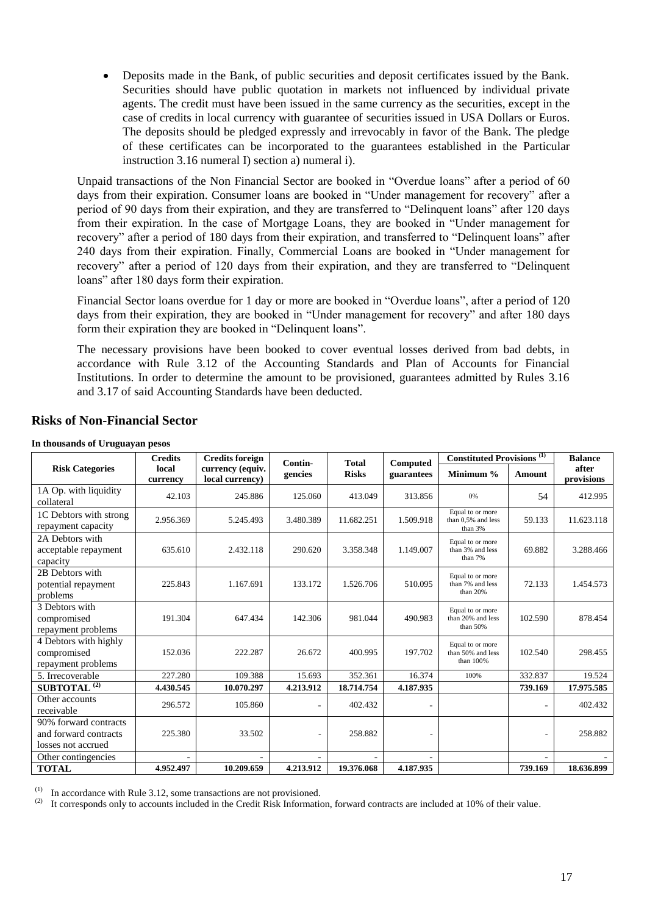Deposits made in the Bank, of public securities and deposit certificates issued by the Bank. Securities should have public quotation in markets not influenced by individual private agents. The credit must have been issued in the same currency as the securities, except in the case of credits in local currency with guarantee of securities issued in USA Dollars or Euros. The deposits should be pledged expressly and irrevocably in favor of the Bank. The pledge of these certificates can be incorporated to the guarantees established in the Particular instruction 3.16 numeral I) section a) numeral i).

Unpaid transactions of the Non Financial Sector are booked in "Overdue loans" after a period of 60 days from their expiration. Consumer loans are booked in "Under management for recovery" after a period of 90 days from their expiration, and they are transferred to "Delinquent loans" after 120 days from their expiration. In the case of Mortgage Loans, they are booked in "Under management for recovery" after a period of 180 days from their expiration, and transferred to "Delinquent loans" after 240 days from their expiration. Finally, Commercial Loans are booked in "Under management for recovery" after a period of 120 days from their expiration, and they are transferred to "Delinquent loans" after 180 days form their expiration.

Financial Sector loans overdue for 1 day or more are booked in "Overdue loans", after a period of 120 days from their expiration, they are booked in "Under management for recovery" and after 180 days form their expiration they are booked in "Delinquent loans".

The necessary provisions have been booked to cover eventual losses derived from bad debts, in accordance with Rule 3.12 of the Accounting Standards and Plan of Accounts for Financial Institutions. In order to determine the amount to be provisioned, guarantees admitted by Rules 3.16 and 3.17 of said Accounting Standards have been deducted.

|                                                                      | <b>Credits</b>    | <b>Credits foreign</b>              |                    |                              |                        | <b>Constituted Provisions</b> <sup>(1)</sup>        |                          | <b>Balance</b>      |
|----------------------------------------------------------------------|-------------------|-------------------------------------|--------------------|------------------------------|------------------------|-----------------------------------------------------|--------------------------|---------------------|
| <b>Risk Categories</b>                                               | local<br>currency | currency (equiv.<br>local currency) | Contin-<br>gencies | <b>Total</b><br><b>Risks</b> | Computed<br>guarantees | Minimum %                                           | Amount                   | after<br>provisions |
| 1A Op. with liquidity<br>collateral                                  | 42.103            | 245.886                             | 125.060            | 413.049                      | 313.856                | 0%                                                  | 54                       | 412.995             |
| 1C Debtors with strong<br>repayment capacity                         | 2.956.369         | 5.245.493                           | 3.480.389          | 11.682.251                   | 1.509.918              | Equal to or more<br>than 0,5% and less<br>than 3%   | 59.133                   | 11.623.118          |
| 2A Debtors with<br>acceptable repayment<br>capacity                  | 635.610           | 2.432.118                           | 290.620            | 3.358.348                    | 1.149.007              | Equal to or more<br>than 3% and less<br>than 7%     | 69.882                   | 3.288.466           |
| 2B Debtors with<br>potential repayment<br>problems                   | 225.843           | 1.167.691                           | 133.172            | 1.526.706                    | 510.095                | Equal to or more<br>than 7% and less<br>than 20%    | 72.133                   | 1.454.573           |
| 3 Debtors with<br>compromised<br>repayment problems                  | 191.304           | 647.434                             | 142.306            | 981.044                      | 490.983                | Equal to or more<br>than 20% and less<br>than $50%$ | 102.590                  | 878.454             |
| 4 Debtors with highly<br>compromised<br>repayment problems           | 152.036           | 222.287                             | 26.672             | 400.995                      | 197.702                | Equal to or more<br>than 50% and less<br>than 100%  | 102.540                  | 298.455             |
| 5. Irrecoverable                                                     | 227.280           | 109.388                             | 15.693             | 352.361                      | 16.374                 | 100%                                                | 332.837                  | 19.524              |
| SUBTOTAL <sup>(2)</sup>                                              | 4.430.545         | 10.070.297                          | 4.213.912          | 18.714.754                   | 4.187.935              |                                                     | 739.169                  | 17.975.585          |
| Other accounts<br>receivable                                         | 296.572           | 105.860                             |                    | 402.432                      |                        |                                                     |                          | 402.432             |
| 90% forward contracts<br>and forward contracts<br>losses not accrued | 225.380           | 33.502                              |                    | 258.882                      |                        |                                                     | $\overline{\phantom{0}}$ | 258.882             |
| Other contingencies                                                  |                   |                                     |                    |                              |                        |                                                     |                          |                     |
| <b>TOTAL</b>                                                         | 4.952.497         | 10.209.659                          | 4.213.912          | 19.376.068                   | 4.187.935              |                                                     | 739.169                  | 18.636.899          |

#### **Risks of Non-Financial Sector**

**In thousands of Uruguayan pesos**

(1) In accordance with Rule 3.12, some transactions are not provisioned.

(2) It corresponds only to accounts included in the Credit Risk Information, forward contracts are included at 10% of their value.

17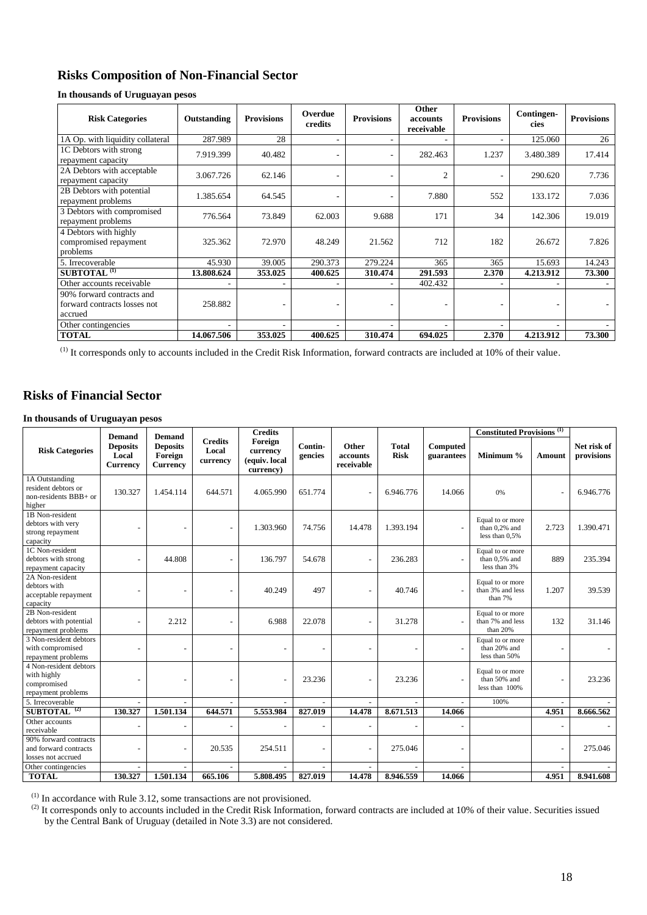## **Risks Composition of Non-Financial Sector**

| <b>Risk Categories</b>                                     | Outstanding | <b>Provisions</b> | Overdue<br>credits       | <b>Provisions</b> | Other<br>accounts<br>receivable | <b>Provisions</b> | Contingen-<br>cies | <b>Provisions</b> |
|------------------------------------------------------------|-------------|-------------------|--------------------------|-------------------|---------------------------------|-------------------|--------------------|-------------------|
| 1A Op. with liquidity collateral                           | 287.989     | 28                |                          |                   |                                 |                   | 125.060            | 26                |
| 1C Debtors with strong<br>repayment capacity               | 7.919.399   | 40.482            | ٠                        |                   | 282.463                         | 1.237             | 3.480.389          | 17.414            |
| 2A Debtors with acceptable<br>repayment capacity           | 3.067.726   | 62.146            | $\overline{\phantom{a}}$ |                   | $\overline{2}$                  |                   | 290.620            | 7.736             |
| 2B Debtors with potential<br>repayment problems            | 1.385.654   | 64.545            | ٠                        | ۰                 | 7.880                           | 552               | 133.172            | 7.036             |
| 3 Debtors with compromised<br>repayment problems           | 776.564     | 73.849            | 62.003                   | 9.688             | 171                             | 34                | 142.306            | 19.019            |
| 4 Debtors with highly<br>compromised repayment<br>problems | 325.362     | 72.970            | 48.249                   | 21.562            | 712                             | 182               | 26.672             | 7.826             |
| 5. Irrecoverable                                           | 45.930      | 39.005            | 290.373                  | 279.224           | 365                             | 365               | 15.693             | 14.243            |
| SUBTOTAL <sup>(1)</sup>                                    | 13.808.624  | 353.025           | 400.625                  | 310.474           | 291.593                         | 2.370             | 4.213.912          | 73.300            |
| Other accounts receivable                                  |             |                   |                          |                   | 402.432                         |                   |                    |                   |
| 90% forward contracts and                                  |             |                   |                          |                   |                                 |                   |                    |                   |
| forward contracts losses not                               | 258.882     |                   | $\overline{\phantom{a}}$ | ٠                 | ٠.                              | ۰                 |                    |                   |
| accrued                                                    |             |                   |                          |                   |                                 |                   |                    |                   |
| Other contingencies                                        |             |                   |                          |                   |                                 |                   |                    |                   |
| <b>TOTAL</b>                                               | 14.067.506  | 353.025           | 400.625                  | 310.474           | 694.025                         | 2.370             | 4.213.912          | 73.300            |

#### **In thousands of Uruguayan pesos**

(1) It corresponds only to accounts included in the Credit Risk Information, forward contracts are included at 10% of their value.

#### **Risks of Financial Sector**

**In thousands of Uruguayan pesos**

|                                                                            | <b>Demand</b>                               | <b>Demand</b>                                 |                                     | <b>Credits</b>                                    |                    |                                 |                             |                          | <b>Constituted Provisions</b> <sup>(1)</sup>          |                          |                           |
|----------------------------------------------------------------------------|---------------------------------------------|-----------------------------------------------|-------------------------------------|---------------------------------------------------|--------------------|---------------------------------|-----------------------------|--------------------------|-------------------------------------------------------|--------------------------|---------------------------|
| <b>Risk Categories</b>                                                     | <b>Deposits</b><br>Local<br><b>Currency</b> | <b>Deposits</b><br>Foreign<br><b>Currency</b> | <b>Credits</b><br>Local<br>currency | Foreign<br>currency<br>(equiv. local<br>currency) | Contin-<br>gencies | Other<br>accounts<br>receivable | <b>Total</b><br><b>Risk</b> | Computed<br>guarantees   | Minimum %                                             | Amount                   | Net risk of<br>provisions |
| 1A Outstanding<br>resident debtors or<br>non-residents BBB+ or<br>higher   | 130.327                                     | 1.454.114                                     | 644.571                             | 4.065.990                                         | 651.774            |                                 | 6.946.776                   | 14.066                   | 0%                                                    |                          | 6.946.776                 |
| 1B Non-resident<br>debtors with very<br>strong repayment<br>capacity       | ۰                                           | ÷                                             | $\sim$                              | 1.303.960                                         | 74.756             | 14.478                          | 1.393.194                   | ÷,                       | Equal to or more<br>than $0.2%$ and<br>less than 0,5% | 2.723                    | 1.390.471                 |
| 1C Non-resident<br>debtors with strong<br>repayment capacity               | ٠                                           | 44.808                                        | $\overline{\phantom{a}}$            | 136.797                                           | 54.678             |                                 | 236.283                     | $\overline{a}$           | Equal to or more<br>than $0.5%$ and<br>less than 3%   | 889                      | 235.394                   |
| 2A Non-resident<br>debtors with<br>acceptable repayment<br>capacity        |                                             | ä,                                            |                                     | 40.249                                            | 497                |                                 | 40.746                      | $\overline{a}$           | Equal to or more<br>than 3% and less<br>than 7%       | 1.207                    | 39.539                    |
| 2B Non-resident<br>debtors with potential<br>repayment problems            |                                             | 2.212                                         |                                     | 6.988                                             | 22.078             |                                 | 31.278                      |                          | Equal to or more<br>than 7% and less<br>than 20%      | 132                      | 31.146                    |
| 3 Non-resident debtors<br>with compromised<br>repayment problems           |                                             | $\overline{a}$                                |                                     |                                                   |                    |                                 |                             | $\overline{a}$           | Equal to or more<br>than 20% and<br>less than 50%     |                          |                           |
| 4 Non-resident debtors<br>with highly<br>compromised<br>repayment problems |                                             | ÷,                                            |                                     |                                                   | 23.236             |                                 | 23.236                      | ÷,                       | Equal to or more<br>than 50% and<br>less than 100%    | ÷,                       | 23.236                    |
| 5. Irrecoverable                                                           |                                             | $\overline{\phantom{a}}$                      |                                     |                                                   |                    |                                 |                             | $\overline{\phantom{a}}$ | 100%                                                  | $\overline{a}$           |                           |
| SUBTOTAL <sup>(2)</sup>                                                    | 130.327                                     | 1.501.134                                     | 644.571                             | 5.553.984                                         | 827.019            | 14.478                          | 8.671.513                   | 14.066                   |                                                       | 4.951                    | 8.666.562                 |
| Other accounts<br>receivable                                               |                                             | $\overline{\phantom{0}}$                      | $\sim$                              |                                                   |                    |                                 |                             |                          |                                                       | $\sim$                   |                           |
| 90% forward contracts<br>and forward contracts<br>losses not accrued       | ٠                                           | $\overline{\phantom{a}}$                      | 20.535                              | 254.511                                           |                    |                                 | 275.046                     | ÷                        |                                                       | $\blacksquare$           | 275.046                   |
| Other contingencies                                                        |                                             | $\overline{\phantom{a}}$                      |                                     |                                                   |                    |                                 |                             |                          |                                                       | $\overline{\phantom{a}}$ |                           |
| <b>TOTAL</b>                                                               | 130.327                                     | 1.501.134                                     | 665.106                             | 5.808.495                                         | 827.019            | 14.478                          | 8.946.559                   | 14.066                   |                                                       | 4.951                    | 8.941.608                 |

 $(1)$  In accordance with Rule 3.12, some transactions are not provisioned.

<sup>(2)</sup> It corresponds only to accounts included in the Credit Risk Information, forward contracts are included at 10% of their value. Securities issued by the Central Bank of Uruguay (detailed in Note 3.3) are not considered.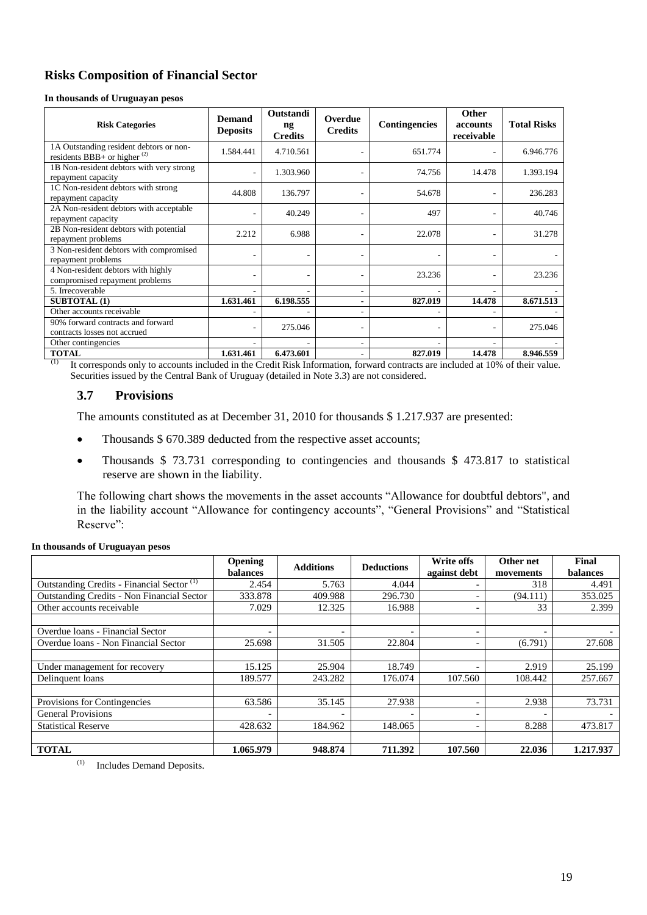## **Risks Composition of Financial Sector**

#### **In thousands of Uruguayan pesos**

| <b>Risk Categories</b>                                                    | <b>Demand</b><br><b>Deposits</b> | Outstandi<br>ng<br><b>Credits</b> | Overdue<br><b>Credits</b> | <b>Contingencies</b> | <b>Other</b><br>accounts<br>receivable | <b>Total Risks</b> |
|---------------------------------------------------------------------------|----------------------------------|-----------------------------------|---------------------------|----------------------|----------------------------------------|--------------------|
| 1A Outstanding resident debtors or non-<br>residents BBB+ or higher $(2)$ | 1.584.441                        | 4.710.561                         |                           | 651.774              |                                        | 6.946.776          |
| 1B Non-resident debtors with very strong<br>repayment capacity            | $\overline{a}$                   | 1.303.960                         |                           | 74.756               | 14.478                                 | 1.393.194          |
| 1C Non-resident debtors with strong<br>repayment capacity                 | 44.808                           | 136.797                           |                           | 54.678               |                                        | 236.283            |
| 2A Non-resident debtors with acceptable<br>repayment capacity             |                                  | 40.249                            |                           | 497                  |                                        | 40.746             |
| 2B Non-resident debtors with potential<br>repayment problems              | 2.212                            | 6.988                             |                           | 22.078               |                                        | 31.278             |
| 3 Non-resident debtors with compromised<br>repayment problems             |                                  |                                   |                           |                      |                                        |                    |
| 4 Non-resident debtors with highly<br>compromised repayment problems      |                                  |                                   |                           | 23.236               |                                        | 23.236             |
| 5. Irrecoverable                                                          |                                  |                                   |                           |                      |                                        |                    |
| <b>SUBTOTAL (1)</b>                                                       | 1.631.461                        | 6.198.555                         |                           | 827.019              | 14.478                                 | 8.671.513          |
| Other accounts receivable                                                 |                                  |                                   |                           |                      |                                        |                    |
| 90% forward contracts and forward<br>contracts losses not accrued         | -                                | 275.046                           |                           |                      |                                        | 275.046            |
| Other contingencies                                                       |                                  |                                   | $\overline{\phantom{a}}$  |                      |                                        |                    |
| <b>TOTAL</b>                                                              | 1.631.461                        | 6.473.601                         |                           | 827.019              | 14.478                                 | 8.946.559          |

 $<sup>(1)</sup>$  It corresponds only to accounts included in the Credit Risk Information, forward contracts are included at 10% of their value.</sup> Securities issued by the Central Bank of Uruguay (detailed in Note 3.3) are not considered.

#### **3.7 Provisions**

The amounts constituted as at December 31, 2010 for thousands \$ 1.217.937 are presented:

- Thousands \$ 670.389 deducted from the respective asset accounts;
- Thousands \$ 73.731 corresponding to contingencies and thousands \$ 473.817 to statistical reserve are shown in the liability.

The following chart shows the movements in the asset accounts "Allowance for doubtful debtors", and in the liability account "Allowance for contingency accounts", "General Provisions" and "Statistical Reserve":

#### **In thousands of Uruguayan pesos**

|                                                       | <b>Opening</b>           | <b>Additions</b> | <b>Deductions</b> | <b>Write offs</b>        | Other net | Final           |
|-------------------------------------------------------|--------------------------|------------------|-------------------|--------------------------|-----------|-----------------|
|                                                       | <b>balances</b>          |                  |                   | against debt             | movements | <b>balances</b> |
| Outstanding Credits - Financial Sector <sup>(1)</sup> | 2.454                    | 5.763            | 4.044             |                          | 318       | 4.491           |
| Outstanding Credits - Non Financial Sector            | 333.878                  | 409.988          | 296.730           |                          | (94.111)  | 353.025         |
| Other accounts receivable                             | 7.029                    | 12.325           | 16.988            | -                        | 33        | 2.399           |
|                                                       |                          |                  |                   |                          |           |                 |
| Overdue loans - Financial Sector                      | $\overline{\phantom{0}}$ |                  |                   |                          |           |                 |
| Overdue loans - Non Financial Sector                  | 25.698                   | 31.505           | 22.804            | $\overline{\phantom{0}}$ | (6.791)   | 27.608          |
|                                                       |                          |                  |                   |                          |           |                 |
| Under management for recovery                         | 15.125                   | 25.904           | 18.749            |                          | 2.919     | 25.199          |
| Delinquent loans                                      | 189.577                  | 243.282          | 176.074           | 107.560                  | 108.442   | 257.667         |
|                                                       |                          |                  |                   |                          |           |                 |
| Provisions for Contingencies                          | 63.586                   | 35.145           | 27.938            |                          | 2.938     | 73.731          |
| <b>General Provisions</b>                             | $\overline{\phantom{0}}$ |                  |                   | $\overline{\phantom{0}}$ |           |                 |
| <b>Statistical Reserve</b>                            | 428.632                  | 184.962          | 148.065           | $\overline{\phantom{0}}$ | 8.288     | 473.817         |
|                                                       |                          |                  |                   |                          |           |                 |
| <b>TOTAL</b>                                          | 1.065.979                | 948.874          | 711.392           | 107.560                  | 22.036    | 1.217.937       |

(1) Includes Demand Deposits.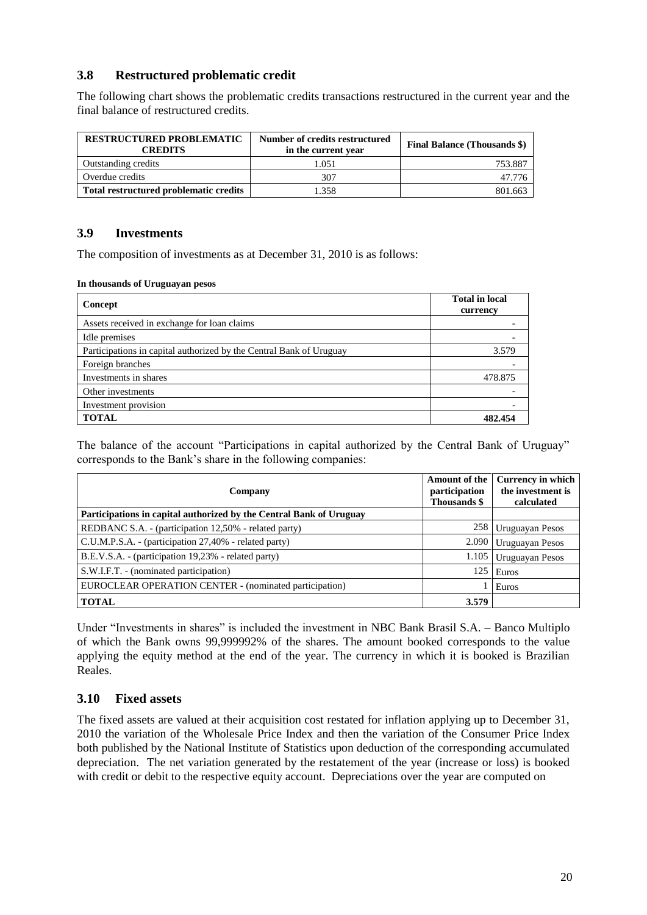### **3.8 Restructured problematic credit**

The following chart shows the problematic credits transactions restructured in the current year and the final balance of restructured credits.

| <b>RESTRUCTURED PROBLEMATIC</b><br><b>CREDITS</b> | Number of credits restructured<br>in the current year | <b>Final Balance (Thousands \$)</b> |
|---------------------------------------------------|-------------------------------------------------------|-------------------------------------|
| <b>Outstanding credits</b>                        | 1.051                                                 | 753.887                             |
| Overdue credits                                   | 307                                                   |                                     |
| Total restructured problematic credits            | .358                                                  | 801.663                             |

### **3.9 Investments**

The composition of investments as at December 31, 2010 is as follows:

#### **In thousands of Uruguayan pesos**

| Concept                                                             | <b>Total in local</b><br>currency |
|---------------------------------------------------------------------|-----------------------------------|
| Assets received in exchange for loan claims                         |                                   |
| Idle premises                                                       |                                   |
| Participations in capital authorized by the Central Bank of Uruguay | 3.579                             |
| Foreign branches                                                    |                                   |
| Investments in shares                                               | 478.875                           |
| Other investments                                                   |                                   |
| Investment provision                                                |                                   |
| <b>TOTAL</b>                                                        | 482.454                           |

The balance of the account "Participations in capital authorized by the Central Bank of Uruguay" corresponds to the Bank's share in the following companies:

| Company                                                             | Amount of the<br>participation<br>Thousands \$ | <b>Currency in which</b><br>the investment is<br>calculated |
|---------------------------------------------------------------------|------------------------------------------------|-------------------------------------------------------------|
| Participations in capital authorized by the Central Bank of Uruguay |                                                |                                                             |
| REDBANC S.A. - (participation 12,50% - related party)               | 258                                            | Uruguayan Pesos                                             |
| C.U.M.P.S.A. - (participation 27,40% - related party)               | 2.090                                          | Uruguayan Pesos                                             |
| B.E.V.S.A. - (participation 19,23% - related party)                 | 1.105                                          | Uruguayan Pesos                                             |
| S.W.I.F.T. - (nominated participation)                              | 125                                            | Euros                                                       |
| EUROCLEAR OPERATION CENTER - (nominated participation)              |                                                | Euros                                                       |
| <b>TOTAL</b>                                                        | 3.579                                          |                                                             |

Under "Investments in shares" is included the investment in NBC Bank Brasil S.A. – Banco Multiplo of which the Bank owns 99,999992% of the shares. The amount booked corresponds to the value applying the equity method at the end of the year. The currency in which it is booked is Brazilian Reales.

#### **3.10 Fixed assets**

The fixed assets are valued at their acquisition cost restated for inflation applying up to December 31, 2010 the variation of the Wholesale Price Index and then the variation of the Consumer Price Index both published by the National Institute of Statistics upon deduction of the corresponding accumulated depreciation. The net variation generated by the restatement of the year (increase or loss) is booked with credit or debit to the respective equity account. Depreciations over the year are computed on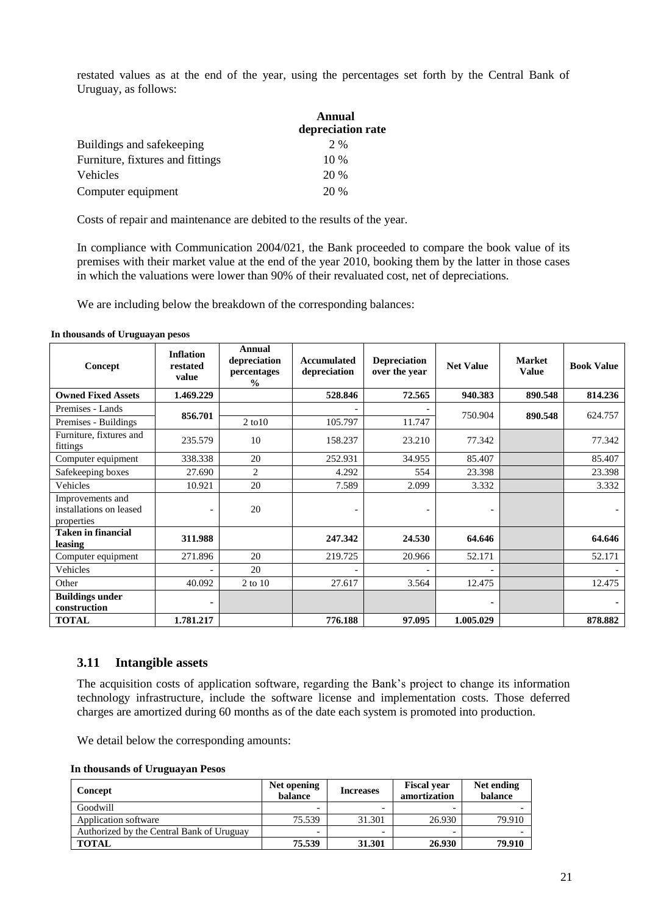restated values as at the end of the year, using the percentages set forth by the Central Bank of Uruguay, as follows:

|                                  | Annual<br>depreciation rate |
|----------------------------------|-----------------------------|
| Buildings and safekeeping        | 2 %                         |
| Furniture, fixtures and fittings | $10\%$                      |
| <b>Vehicles</b>                  | 20 %                        |
| Computer equipment               | 20 %                        |

Costs of repair and maintenance are debited to the results of the year.

In compliance with Communication 2004/021, the Bank proceeded to compare the book value of its premises with their market value at the end of the year 2010, booking them by the latter in those cases in which the valuations were lower than 90% of their revaluated cost, net of depreciations.

We are including below the breakdown of the corresponding balances:

| Concept                                                   | <b>Inflation</b><br>restated<br>value | Annual<br>depreciation<br>percentages<br>$\frac{0}{0}$ | Accumulated<br>depreciation | <b>Depreciation</b><br>over the year | <b>Net Value</b> | <b>Market</b><br><b>Value</b> | <b>Book Value</b> |
|-----------------------------------------------------------|---------------------------------------|--------------------------------------------------------|-----------------------------|--------------------------------------|------------------|-------------------------------|-------------------|
| <b>Owned Fixed Assets</b>                                 | 1.469.229                             |                                                        | 528.846                     | 72.565                               | 940.383          | 890.548                       | 814.236           |
| Premises - Lands                                          |                                       |                                                        |                             |                                      | 750.904          |                               | 624.757           |
| Premises - Buildings                                      | 856.701                               | $2$ to $10$                                            | 105.797                     | 11.747                               |                  | 890.548                       |                   |
| Furniture, fixtures and<br>fittings                       | 235.579                               | 10                                                     | 158.237                     | 23.210                               | 77.342           |                               | 77.342            |
| Computer equipment                                        | 338.338                               | 20                                                     | 252.931                     | 34.955                               | 85.407           |                               | 85.407            |
| Safekeeping boxes                                         | 27.690                                | $\overline{c}$                                         | 4.292                       | 554                                  | 23.398           |                               | 23.398            |
| Vehicles                                                  | 10.921                                | 20                                                     | 7.589                       | 2.099                                | 3.332            |                               | 3.332             |
| Improvements and<br>installations on leased<br>properties | -                                     | 20                                                     |                             |                                      |                  |                               |                   |
| <b>Taken in financial</b><br>leasing                      | 311.988                               |                                                        | 247.342                     | 24.530                               | 64.646           |                               | 64.646            |
| Computer equipment                                        | 271.896                               | 20                                                     | 219.725                     | 20.966                               | 52.171           |                               | 52.171            |
| Vehicles                                                  |                                       | 20                                                     |                             |                                      |                  |                               |                   |
| Other                                                     | 40.092                                | 2 to 10                                                | 27.617                      | 3.564                                | 12.475           |                               | 12.475            |
| <b>Buildings under</b><br>construction                    | ۰                                     |                                                        |                             |                                      | ۰                |                               |                   |
| <b>TOTAL</b>                                              | 1.781.217                             |                                                        | 776.188                     | 97.095                               | 1.005.029        |                               | 878.882           |

#### **In thousands of Uruguayan pesos**

#### **3.11 Intangible assets**

The acquisition costs of application software, regarding the Bank's project to change its information technology infrastructure, include the software license and implementation costs. Those deferred charges are amortized during 60 months as of the date each system is promoted into production.

We detail below the corresponding amounts:

**In thousands of Uruguayan Pesos**

| Concept                                   | Net opening<br>balance   | <b>Increases</b> | <b>Fiscal vear</b><br>amortization | Net ending<br>balance |
|-------------------------------------------|--------------------------|------------------|------------------------------------|-----------------------|
| Goodwill                                  | $\overline{\phantom{0}}$ |                  | $\overline{\phantom{0}}$           |                       |
| Application software                      | 75.539                   | 31.301           | 26.930                             | 79.910                |
| Authorized by the Central Bank of Uruguay | $\overline{\phantom{0}}$ |                  |                                    |                       |
| <b>TOTAL</b>                              | 75.539                   | 31.301           | 26.930                             | 79.910                |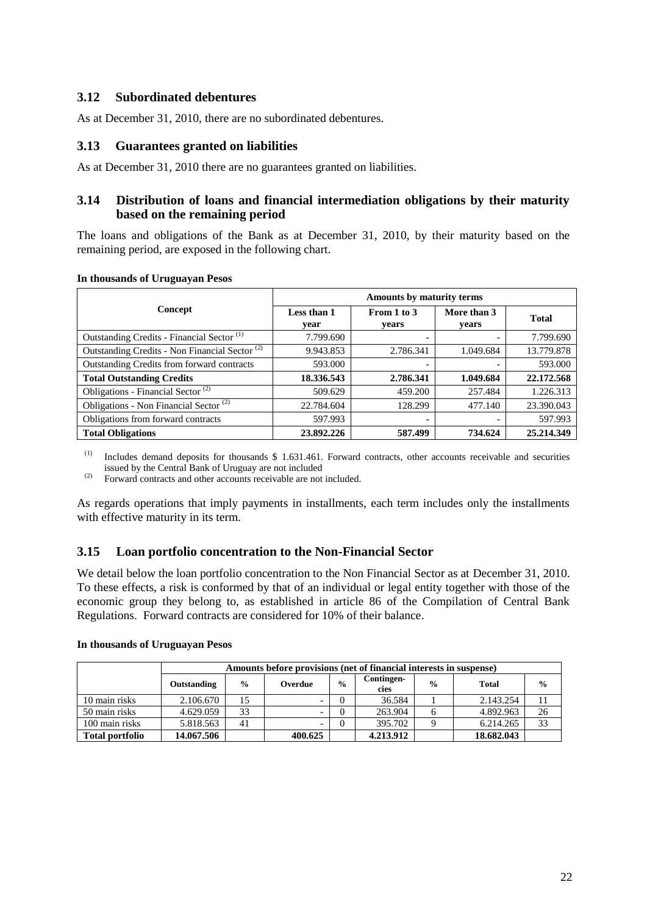### **3.12 Subordinated debentures**

As at December 31, 2010, there are no subordinated debentures.

### **3.13 Guarantees granted on liabilities**

As at December 31, 2010 there are no guarantees granted on liabilities.

### **3.14 Distribution of loans and financial intermediation obligations by their maturity based on the remaining period**

The loans and obligations of the Bank as at December 31, 2010, by their maturity based on the remaining period, are exposed in the following chart.

|                                                           | Amounts by maturity terms |                          |                      |              |  |  |
|-----------------------------------------------------------|---------------------------|--------------------------|----------------------|--------------|--|--|
| Concept                                                   | Less than 1<br>year       | From 1 to 3<br>years     | More than 3<br>years | <b>Total</b> |  |  |
| Outstanding Credits - Financial Sector <sup>(1)</sup>     | 7.799.690                 |                          |                      | 7.799.690    |  |  |
| Outstanding Credits - Non Financial Sector <sup>(2)</sup> | 9.943.853                 | 2.786.341                | 1.049.684            | 13.779.878   |  |  |
| Outstanding Credits from forward contracts                | 593.000                   |                          |                      | 593.000      |  |  |
| <b>Total Outstanding Credits</b>                          | 18.336.543                | 2.786.341                | 1.049.684            | 22.172.568   |  |  |
| Obligations - Financial Sector <sup>(2)</sup>             | 509.629                   | 459.200                  | 257.484              | 1.226.313    |  |  |
| Obligations - Non Financial Sector <sup>(2)</sup>         | 22.784.604                | 128.299                  | 477.140              | 23.390.043   |  |  |
| Obligations from forward contracts                        | 597.993                   | $\overline{\phantom{a}}$ |                      | 597.993      |  |  |
| <b>Total Obligations</b>                                  | 23.892.226                | 587.499                  | 734.624              | 25.214.349   |  |  |

**In thousands of Uruguayan Pesos**

(1) Includes demand deposits for thousands \$ 1.631.461. Forward contracts, other accounts receivable and securities issued by the Central Bank of Uruguay are not included

(2) Forward contracts and other accounts receivable are not included.

As regards operations that imply payments in installments, each term includes only the installments with effective maturity in its term.

#### **3.15 Loan portfolio concentration to the Non-Financial Sector**

We detail below the loan portfolio concentration to the Non Financial Sector as at December 31, 2010. To these effects, a risk is conformed by that of an individual or legal entity together with those of the economic group they belong to, as established in article 86 of the Compilation of Central Bank Regulations. Forward contracts are considered for 10% of their balance.

|                        |             | Amounts before provisions (net of financial interests in suspense) |                          |               |                    |               |              |               |  |  |
|------------------------|-------------|--------------------------------------------------------------------|--------------------------|---------------|--------------------|---------------|--------------|---------------|--|--|
|                        | Outstanding | $\frac{0}{0}$                                                      | Overdue                  | $\frac{6}{9}$ | Contingen-<br>cies | $\frac{0}{0}$ | <b>Total</b> | $\frac{0}{0}$ |  |  |
| 10 main risks          | 2.106.670   |                                                                    |                          |               | 36.584             |               | 2.143.254    | 11            |  |  |
| 50 main risks          | 4.629.059   | 33                                                                 |                          |               | 263.904            |               | 4.892.963    | 26            |  |  |
| 100 main risks         | 5.818.563   | 41                                                                 | $\overline{\phantom{0}}$ |               | 395.702            |               | 6.214.265    | 33            |  |  |
| <b>Total portfolio</b> | 14.067.506  |                                                                    | 400.625                  |               | 4.213.912          |               | 18.682.043   |               |  |  |

#### **In thousands of Uruguayan Pesos**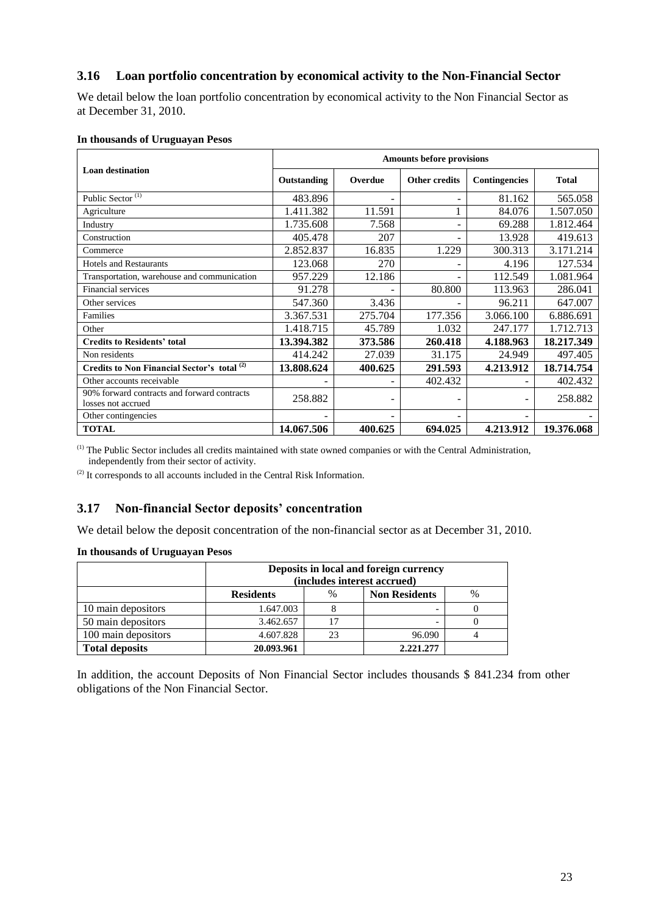### **3.16 Loan portfolio concentration by economical activity to the Non-Financial Sector**

We detail below the loan portfolio concentration by economical activity to the Non Financial Sector as at December 31, 2010.

|                                                                   | <b>Amounts before provisions</b> |         |               |                      |              |  |  |  |
|-------------------------------------------------------------------|----------------------------------|---------|---------------|----------------------|--------------|--|--|--|
| <b>Loan destination</b>                                           | Outstanding                      | Overdue | Other credits | <b>Contingencies</b> | <b>Total</b> |  |  |  |
| Public Sector <sup>(1)</sup>                                      | 483.896                          | -       |               | 81.162               | 565.058      |  |  |  |
| Agriculture                                                       | 1.411.382                        | 11.591  |               | 84.076               | 1.507.050    |  |  |  |
| Industry                                                          | 1.735.608                        | 7.568   |               | 69.288               | 1.812.464    |  |  |  |
| Construction                                                      | 405.478                          | 207     |               | 13.928               | 419.613      |  |  |  |
| Commerce                                                          | 2.852.837                        | 16.835  | 1.229         | 300.313              | 3.171.214    |  |  |  |
| <b>Hotels and Restaurants</b>                                     | 123.068                          | 270     |               | 4.196                | 127.534      |  |  |  |
| Transportation, warehouse and communication                       | 957.229                          | 12.186  |               | 112.549              | 1.081.964    |  |  |  |
| <b>Financial services</b>                                         | 91.278                           |         | 80.800        | 113.963              | 286.041      |  |  |  |
| Other services                                                    | 547.360                          | 3.436   |               | 96.211               | 647.007      |  |  |  |
| Families                                                          | 3.367.531                        | 275.704 | 177.356       | 3.066.100            | 6.886.691    |  |  |  |
| Other                                                             | 1.418.715                        | 45.789  | 1.032         | 247.177              | 1.712.713    |  |  |  |
| <b>Credits to Residents' total</b>                                | 13.394.382                       | 373.586 | 260.418       | 4.188.963            | 18.217.349   |  |  |  |
| Non residents                                                     | 414.242                          | 27.039  | 31.175        | 24.949               | 497.405      |  |  |  |
| Credits to Non Financial Sector's total <sup>(2)</sup>            | 13.808.624                       | 400.625 | 291.593       | 4.213.912            | 18.714.754   |  |  |  |
| Other accounts receivable                                         |                                  |         | 402.432       |                      | 402.432      |  |  |  |
| 90% forward contracts and forward contracts<br>losses not accrued | 258.882                          |         |               |                      | 258.882      |  |  |  |
| Other contingencies                                               |                                  |         |               |                      |              |  |  |  |
| <b>TOTAL</b>                                                      | 14.067.506                       | 400.625 | 694.025       | 4.213.912            | 19.376.068   |  |  |  |

#### **In thousands of Uruguayan Pesos**

(1) The Public Sector includes all credits maintained with state owned companies or with the Central Administration, independently from their sector of activity.

(2) It corresponds to all accounts included in the Central Risk Information.

#### **3.17 Non-financial Sector deposits' concentration**

We detail below the deposit concentration of the non-financial sector as at December 31, 2010.

|                       | Deposits in local and foreign currency<br>(includes interest accrued) |      |                      |          |  |  |
|-----------------------|-----------------------------------------------------------------------|------|----------------------|----------|--|--|
|                       | <b>Residents</b>                                                      | $\%$ | <b>Non Residents</b> | $\%$     |  |  |
| 10 main depositors    | 1.647.003                                                             |      |                      | 0        |  |  |
| 50 main depositors    | 3.462.657                                                             | 17   |                      | $\Omega$ |  |  |
| 100 main depositors   | 4.607.828                                                             | 23   | 96.090               | 4        |  |  |
| <b>Total deposits</b> | 20.093.961                                                            |      | 2.221.277            |          |  |  |

#### **In thousands of Uruguayan Pesos**

In addition, the account Deposits of Non Financial Sector includes thousands \$ 841.234 from other obligations of the Non Financial Sector.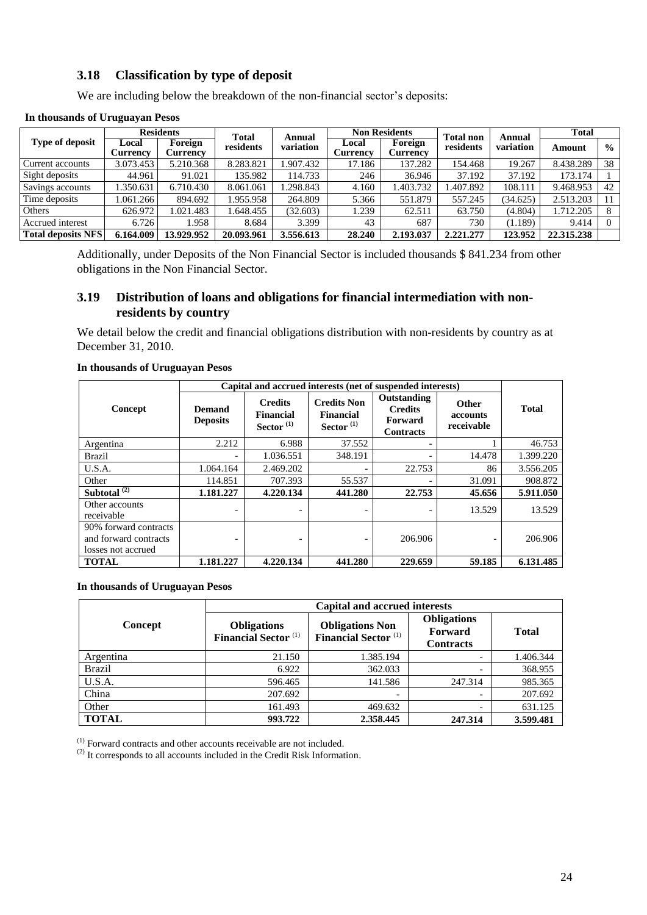### **3.18 Classification by type of deposit**

We are including below the breakdown of the non-financial sector's deposits:

|                           |                   | <b>Residents</b>    | Total      |           | <b>Non Residents</b><br>Annual |                     | <b>Total non</b> | Annual    | <b>Total</b> |               |
|---------------------------|-------------------|---------------------|------------|-----------|--------------------------------|---------------------|------------------|-----------|--------------|---------------|
| <b>Type of deposit</b>    | Local<br>Currencv | Foreign<br>Currency | residents  | variation | Local<br>Currency              | Foreign<br>Currency | residents        | variation | Amount       | $\frac{0}{0}$ |
| Current accounts          | 3.073.453         | 5.210.368           | 8.283.821  | 1.907.432 | 17.186                         | 137.282             | 154.468          | 19.267    | 8.438.289    | 38            |
| Sight deposits            | 44.961            | 91.021              | 135.982    | 14.733    | 246                            | 36.946              | 37.192           | 37.192    | 173.174      |               |
| Savings accounts          | .350.631          | 6.710.430           | 8.061.061  | 1.298.843 | 4.160                          | .403.732            | 1.407.892        | 108.111   | 9.468.953    | 42            |
| Time deposits             | .061.266          | 894.692             | 1.955.958  | 264.809   | 5.366                          | 551.879             | 557.245          | (34.625)  | 2.513.203    |               |
| Others                    | 626.972           | 1.021.483           | .648.455   | (32.603)  | 1.239                          | 62.511              | 63.750           | (4.804)   | 1.712.205    |               |
| Accrued interest          | 6.726             | 1.958               | 8.684      | 3.399     | 43                             | 687                 | 730              | (1.189)   | 9.414        |               |
| <b>Total deposits NFS</b> | 6.164.009         | 13.929.952          | 20.093.961 | 3.556.613 | 28.240                         | 2.193.037           | 2.221.277        | 123.952   | 22.315.238   |               |

#### **In thousands of Uruguayan Pesos**

Additionally, under Deposits of the Non Financial Sector is included thousands \$ 841.234 from other obligations in the Non Financial Sector.

#### **3.19 Distribution of loans and obligations for financial intermediation with nonresidents by country**

We detail below the credit and financial obligations distribution with non-residents by country as at December 31, 2010.

|                                                                      | Capital and accrued interests (net of suspended interests) |                                                       |                                                 |                                                              |                                        |              |
|----------------------------------------------------------------------|------------------------------------------------------------|-------------------------------------------------------|-------------------------------------------------|--------------------------------------------------------------|----------------------------------------|--------------|
| Concept                                                              | Demand<br><b>Deposits</b>                                  | <b>Credits</b><br><b>Financial</b><br>Sector $^{(1)}$ | <b>Credits Non</b><br>Financial<br>Sector $(1)$ | Outstanding<br><b>Credits</b><br>Forward<br><b>Contracts</b> | <b>Other</b><br>accounts<br>receivable | <b>Total</b> |
| Argentina                                                            | 2.212                                                      | 6.988                                                 | 37.552                                          |                                                              |                                        | 46.753       |
| <b>Brazil</b>                                                        | $\overline{\phantom{0}}$                                   | 1.036.551                                             | 348.191                                         | -                                                            | 14.478                                 | 1.399.220    |
| U.S.A.                                                               | 1.064.164                                                  | 2.469.202                                             |                                                 | 22.753                                                       | 86                                     | 3.556.205    |
| Other                                                                | 114.851                                                    | 707.393                                               | 55.537                                          |                                                              | 31.091                                 | 908.872      |
| Subtotal $\overline{^{(2)}}$                                         | 1.181.227                                                  | 4.220.134                                             | 441.280                                         | 22.753                                                       | 45.656                                 | 5.911.050    |
| Other accounts<br>receivable                                         |                                                            |                                                       |                                                 |                                                              | 13.529                                 | 13.529       |
| 90% forward contracts<br>and forward contracts<br>losses not accrued | -                                                          | $\overline{\phantom{0}}$                              | -                                               | 206.906                                                      | -                                      | 206.906      |
| <b>TOTAL</b>                                                         | 1.181.227                                                  | 4.220.134                                             | 441.280                                         | 229.659                                                      | 59.185                                 | 6.131.485    |

#### **In thousands of Uruguayan Pesos**

#### **In thousands of Uruguayan Pesos**

|               | <b>Capital and accrued interests</b>                  |                                                                                                            |                          |              |  |  |  |  |
|---------------|-------------------------------------------------------|------------------------------------------------------------------------------------------------------------|--------------------------|--------------|--|--|--|--|
| Concept       | <b>Obligations</b><br>Financial Sector <sup>(1)</sup> | <b>Obligations</b><br><b>Obligations Non</b><br>Forward<br><b>Financial Sector (1)</b><br><b>Contracts</b> |                          | <b>Total</b> |  |  |  |  |
| Argentina     | 21.150                                                | 1.385.194                                                                                                  | $\overline{\phantom{a}}$ | 1.406.344    |  |  |  |  |
| <b>Brazil</b> | 6.922                                                 | 362.033                                                                                                    | $\overline{\phantom{0}}$ | 368.955      |  |  |  |  |
| U.S.A.        | 596.465                                               | 141.586                                                                                                    | 247.314                  | 985.365      |  |  |  |  |
| China         | 207.692                                               |                                                                                                            | $\overline{\phantom{0}}$ | 207.692      |  |  |  |  |
| Other         | 161.493                                               | 469.632                                                                                                    | $\overline{\phantom{a}}$ | 631.125      |  |  |  |  |
| <b>TOTAL</b>  | 993.722                                               | 2.358.445                                                                                                  | 247.314                  | 3.599.481    |  |  |  |  |

(1) Forward contracts and other accounts receivable are not included.

(2) It corresponds to all accounts included in the Credit Risk Information.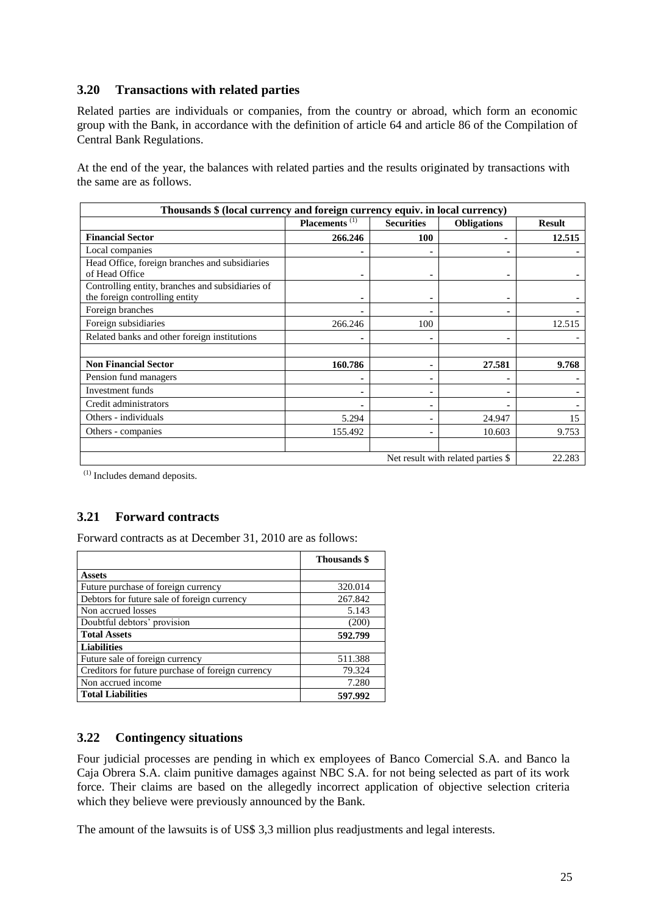### **3.20 Transactions with related parties**

Related parties are individuals or companies, from the country or abroad, which form an economic group with the Bank, in accordance with the definition of article 64 and article 86 of the Compilation of Central Bank Regulations.

At the end of the year, the balances with related parties and the results originated by transactions with the same are as follows.

| Thousands \$ (local currency and foreign currency equiv. in local currency) |                                  |                   |                                    |               |  |  |
|-----------------------------------------------------------------------------|----------------------------------|-------------------|------------------------------------|---------------|--|--|
|                                                                             | <b>Placements</b> <sup>(1)</sup> | <b>Securities</b> | <b>Obligations</b>                 | <b>Result</b> |  |  |
| <b>Financial Sector</b>                                                     | 266.246                          | <b>100</b>        |                                    | 12.515        |  |  |
| Local companies                                                             |                                  |                   |                                    |               |  |  |
| Head Office, foreign branches and subsidiaries                              |                                  |                   |                                    |               |  |  |
| of Head Office                                                              |                                  |                   |                                    |               |  |  |
| Controlling entity, branches and subsidiaries of                            |                                  |                   |                                    |               |  |  |
| the foreign controlling entity                                              |                                  |                   |                                    |               |  |  |
| Foreign branches                                                            |                                  |                   |                                    |               |  |  |
| Foreign subsidiaries                                                        | 266.246                          | 100               |                                    | 12.515        |  |  |
| Related banks and other foreign institutions                                |                                  |                   |                                    |               |  |  |
| <b>Non Financial Sector</b>                                                 | 160.786                          | ۰                 | 27.581                             | 9.768         |  |  |
| Pension fund managers                                                       |                                  |                   |                                    |               |  |  |
| Investment funds                                                            |                                  | ۰                 |                                    |               |  |  |
| Credit administrators                                                       |                                  |                   |                                    |               |  |  |
| Others - individuals                                                        | 5.294                            |                   | 24.947                             | 15            |  |  |
| Others - companies                                                          | 155.492                          |                   | 10.603                             | 9.753         |  |  |
|                                                                             |                                  |                   |                                    |               |  |  |
|                                                                             |                                  |                   | Net result with related parties \$ | 22.283        |  |  |

(1) Includes demand deposits.

### **3.21 Forward contracts**

Forward contracts as at December 31, 2010 are as follows:

|                                                   | Thousands \$ |
|---------------------------------------------------|--------------|
| <b>Assets</b>                                     |              |
| Future purchase of foreign currency               | 320.014      |
| Debtors for future sale of foreign currency       | 267.842      |
| Non accrued losses                                | 5.143        |
| Doubtful debtors' provision                       | (200)        |
| <b>Total Assets</b>                               | 592.799      |
| <b>Liabilities</b>                                |              |
| Future sale of foreign currency                   | 511.388      |
| Creditors for future purchase of foreign currency | 79.324       |
| Non accrued income                                | 7.280        |
| <b>Total Liabilities</b>                          | 597.992      |

#### **3.22 Contingency situations**

Four judicial processes are pending in which ex employees of Banco Comercial S.A. and Banco la Caja Obrera S.A. claim punitive damages against NBC S.A. for not being selected as part of its work force. Their claims are based on the allegedly incorrect application of objective selection criteria which they believe were previously announced by the Bank.

The amount of the lawsuits is of US\$ 3,3 million plus readjustments and legal interests.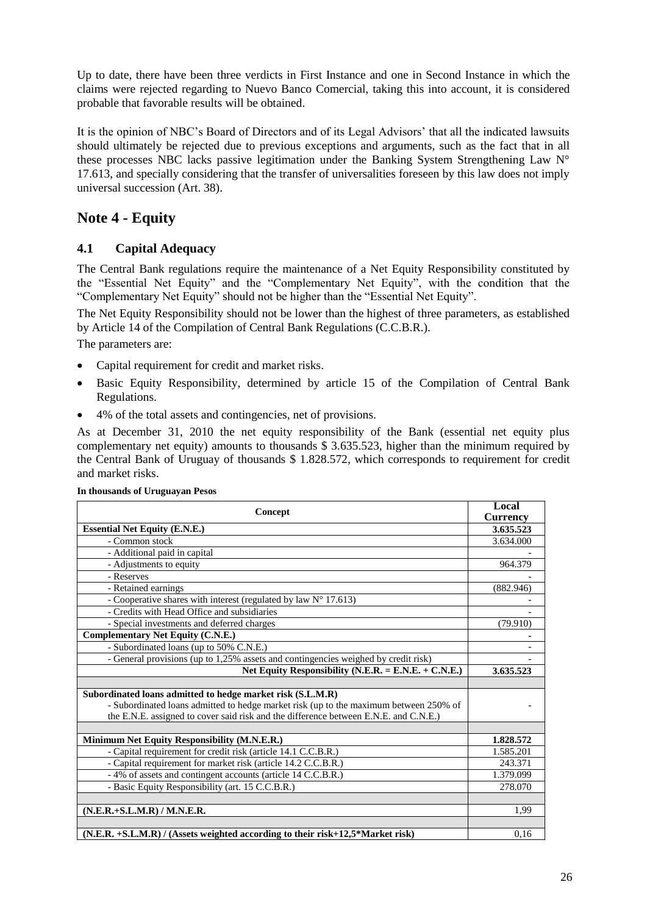Up to date, there have been three verdicts in First Instance and one in Second Instance in which the claims were rejected regarding to Nuevo Banco Comercial, taking this into account, it is considered probable that favorable results will be obtained.

It is the opinion of NBC's Board of Directors and of its Legal Advisors' that all the indicated lawsuits should ultimately be rejected due to previous exceptions and arguments, such as the fact that in all these processes NBC lacks passive legitimation under the Banking System Strengthening Law N° 17.613, and specially considering that the transfer of universalities foreseen by this law does not imply universal succession (Art. 38).

## **Note 4 - Equity**

### **4.1 Capital Adequacy**

The Central Bank regulations require the maintenance of a Net Equity Responsibility constituted by the "Essential Net Equity" and the "Complementary Net Equity", with the condition that the "Complementary Net Equity" should not be higher than the "Essential Net Equity".

The Net Equity Responsibility should not be lower than the highest of three parameters, as established by Article 14 of the Compilation of Central Bank Regulations (C.C.B.R.).

The parameters are:

- Capital requirement for credit and market risks.
- Basic Equity Responsibility, determined by article 15 of the Compilation of Central Bank Regulations.
- 4% of the total assets and contingencies, net of provisions.

As at December 31, 2010 the net equity responsibility of the Bank (essential net equity plus complementary net equity) amounts to thousands \$ 3.635.523, higher than the minimum required by the Central Bank of Uruguay of thousands \$ 1.828.572, which corresponds to requirement for credit and market risks.

| Concept                                                                               | Local<br><b>Currency</b> |
|---------------------------------------------------------------------------------------|--------------------------|
| <b>Essential Net Equity (E.N.E.)</b>                                                  | 3.635.523                |
| - Common stock                                                                        | 3.634.000                |
| - Additional paid in capital                                                          |                          |
| - Adjustments to equity                                                               | 964.379                  |
| - Reserves                                                                            |                          |
| - Retained earnings                                                                   | (882.946)                |
| - Cooperative shares with interest (regulated by law N° 17.613)                       |                          |
| - Credits with Head Office and subsidiaries                                           |                          |
| - Special investments and deferred charges                                            | (79.910)                 |
| <b>Complementary Net Equity (C.N.E.)</b>                                              |                          |
| - Subordinated loans (up to 50% C.N.E.)                                               |                          |
| - General provisions (up to 1,25% assets and contingencies weighed by credit risk)    |                          |
| Net Equity Responsibility (N.E.R. = E.N.E. + C.N.E.)                                  | 3.635.523                |
|                                                                                       |                          |
| Subordinated loans admitted to hedge market risk (S.L.M.R)                            |                          |
| - Subordinated loans admitted to hedge market risk (up to the maximum between 250% of |                          |
| the E.N.E. assigned to cover said risk and the difference between E.N.E. and C.N.E.)  |                          |
|                                                                                       |                          |
| Minimum Net Equity Responsibility (M.N.E.R.)                                          | 1.828.572                |
| - Capital requirement for credit risk (article 14.1 C.C.B.R.)                         | 1.585.201                |
| - Capital requirement for market risk (article 14.2 C.C.B.R.)                         | 243.371                  |
| - 4% of assets and contingent accounts (article 14 C.C.B.R.)                          | 1.379.099                |
| - Basic Equity Responsibility (art. 15 C.C.B.R.)                                      | 278.070                  |
|                                                                                       |                          |
| $(N.E.R.+S.L.M.R) / M.N.E.R.$                                                         | 1.99                     |
|                                                                                       |                          |
| (N.E.R. +S.L.M.R) / (Assets weighted according to their risk+12,5*Market risk)        | 0.16                     |

#### **In thousands of Uruguayan Pesos**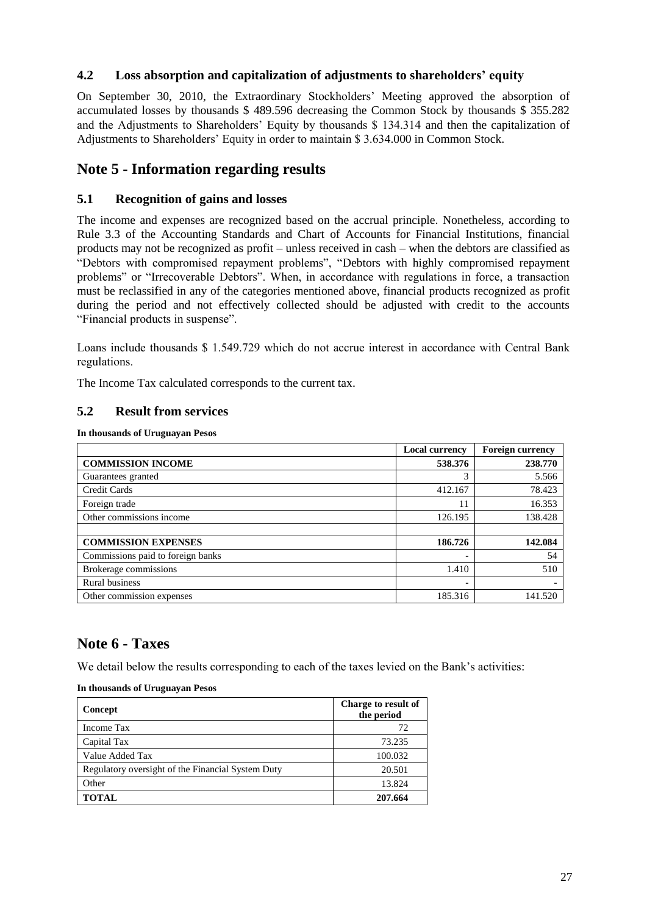### **4.2 Loss absorption and capitalization of adjustments to shareholders' equity**

On September 30, 2010, the Extraordinary Stockholders' Meeting approved the absorption of accumulated losses by thousands \$ 489.596 decreasing the Common Stock by thousands \$ 355.282 and the Adjustments to Shareholders' Equity by thousands \$ 134.314 and then the capitalization of Adjustments to Shareholders' Equity in order to maintain \$ 3.634.000 in Common Stock.

## **Note 5 - Information regarding results**

### **5.1 Recognition of gains and losses**

The income and expenses are recognized based on the accrual principle. Nonetheless, according to Rule 3.3 of the Accounting Standards and Chart of Accounts for Financial Institutions, financial products may not be recognized as profit – unless received in cash – when the debtors are classified as "Debtors with compromised repayment problems", "Debtors with highly compromised repayment problems" or "Irrecoverable Debtors". When, in accordance with regulations in force, a transaction must be reclassified in any of the categories mentioned above, financial products recognized as profit during the period and not effectively collected should be adjusted with credit to the accounts "Financial products in suspense".

Loans include thousands \$ 1.549.729 which do not accrue interest in accordance with Central Bank regulations.

The Income Tax calculated corresponds to the current tax.

### **5.2 Result from services**

**In thousands of Uruguayan Pesos**

|                                   | <b>Local currency</b>    | <b>Foreign currency</b> |
|-----------------------------------|--------------------------|-------------------------|
| <b>COMMISSION INCOME</b>          | 538.376                  | 238.770                 |
| Guarantees granted                |                          | 5.566                   |
| Credit Cards                      | 412.167                  | 78.423                  |
| Foreign trade                     | 11                       | 16.353                  |
| Other commissions income          | 126.195                  | 138.428                 |
|                                   |                          |                         |
| <b>COMMISSION EXPENSES</b>        | 186.726                  | 142.084                 |
| Commissions paid to foreign banks |                          | 54                      |
| Brokerage commissions             | 1.410                    | 510                     |
| <b>Rural business</b>             | $\overline{\phantom{0}}$ |                         |
| Other commission expenses         | 185.316                  | 141.520                 |

## **Note 6 - Taxes**

We detail below the results corresponding to each of the taxes levied on the Bank's activities:

#### **In thousands of Uruguayan Pesos**

| Concept                                           | Charge to result of<br>the period |
|---------------------------------------------------|-----------------------------------|
| Income Tax                                        | 72                                |
| Capital Tax                                       | 73.235                            |
| Value Added Tax                                   | 100.032                           |
| Regulatory oversight of the Financial System Duty | 20.501                            |
| Other                                             | 13.824                            |
| <b>TOTAL</b>                                      | 207.664                           |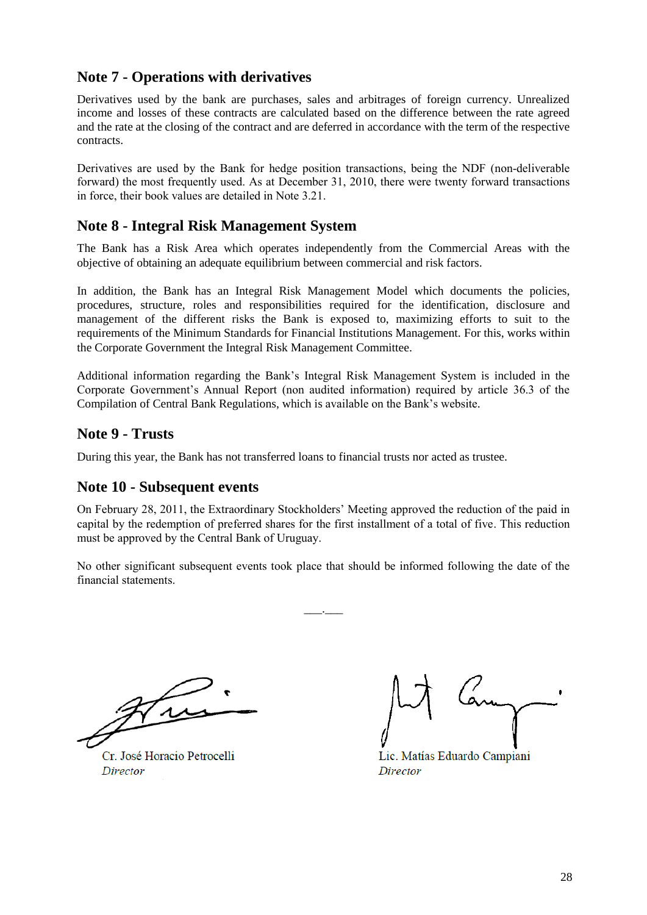## **Note 7 - Operations with derivatives**

Derivatives used by the bank are purchases, sales and arbitrages of foreign currency. Unrealized income and losses of these contracts are calculated based on the difference between the rate agreed and the rate at the closing of the contract and are deferred in accordance with the term of the respective contracts.

Derivatives are used by the Bank for hedge position transactions, being the NDF (non-deliverable forward) the most frequently used. As at December 31, 2010, there were twenty forward transactions in force, their book values are detailed in Note 3.21.

## **Note 8 - Integral Risk Management System**

The Bank has a Risk Area which operates independently from the Commercial Areas with the objective of obtaining an adequate equilibrium between commercial and risk factors.

In addition, the Bank has an Integral Risk Management Model which documents the policies, procedures, structure, roles and responsibilities required for the identification, disclosure and management of the different risks the Bank is exposed to, maximizing efforts to suit to the requirements of the Minimum Standards for Financial Institutions Management. For this, works within the Corporate Government the Integral Risk Management Committee.

Additional information regarding the Bank's Integral Risk Management System is included in the Corporate Government's Annual Report (non audited information) required by article 36.3 of the Compilation of Central Bank Regulations, which is available on the Bank's website.

## **Note 9 - Trusts**

During this year, the Bank has not transferred loans to financial trusts nor acted as trustee.

### **Note 10 - Subsequent events**

On February 28, 2011, the Extraordinary Stockholders' Meeting approved the reduction of the paid in capital by the redemption of preferred shares for the first installment of a total of five. This reduction must be approved by the Central Bank of Uruguay.

No other significant subsequent events took place that should be informed following the date of the financial statements.

 $\overline{\phantom{a}}$ 

Cr. José Horacio Petrocelli Director

Lic. Matías Eduardo Campiani **Director**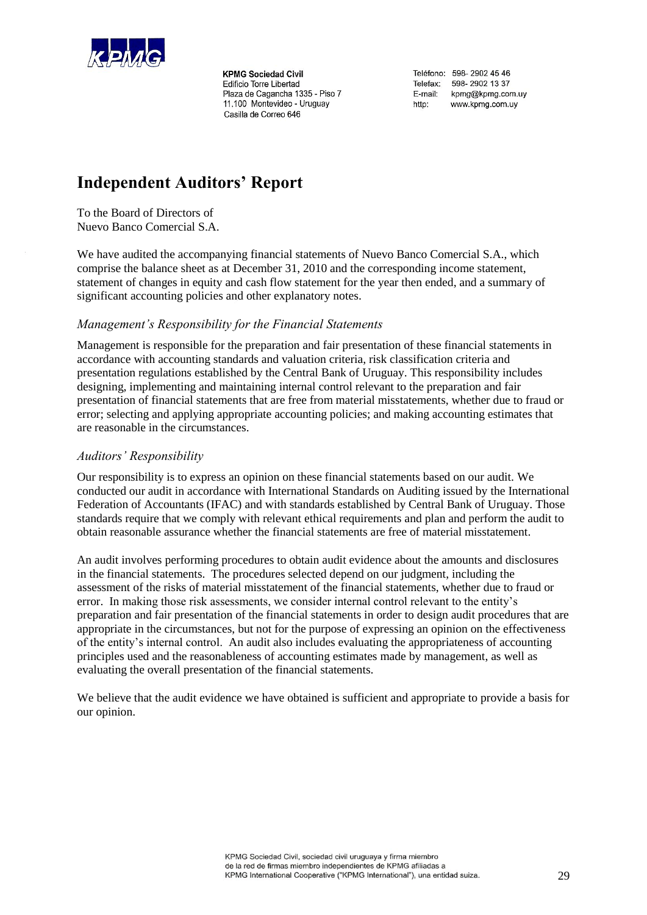

**KPMG Sociedad Civil Edificio Torre Libertad** Plaza de Cagancha 1335 - Piso 7 11.100 Montevideo - Uruguay Casilla de Correo 646

Teléfono: 598-2902 45 46 Telefax: 598-2902 13 37 E-mail: kpmg@kpmg.com.uy http: www.kpmg.com.uy

# **Independent Auditors' Report**

To the Board of Directors of Nuevo Banco Comercial S.A.

We have audited the accompanying financial statements of Nuevo Banco Comercial S.A., which comprise the balance sheet as at December 31, 2010 and the corresponding income statement, statement of changes in equity and cash flow statement for the year then ended, and a summary of significant accounting policies and other explanatory notes.

#### *Management's Responsibility for the Financial Statements*

Management is responsible for the preparation and fair presentation of these financial statements in accordance with accounting standards and valuation criteria, risk classification criteria and presentation regulations established by the Central Bank of Uruguay. This responsibility includes designing, implementing and maintaining internal control relevant to the preparation and fair presentation of financial statements that are free from material misstatements, whether due to fraud or error; selecting and applying appropriate accounting policies; and making accounting estimates that are reasonable in the circumstances.

#### *Auditors' Responsibility*

Our responsibility is to express an opinion on these financial statements based on our audit. We conducted our audit in accordance with International Standards on Auditing issued by the International Federation of Accountants (IFAC) and with standards established by Central Bank of Uruguay. Those standards require that we comply with relevant ethical requirements and plan and perform the audit to obtain reasonable assurance whether the financial statements are free of material misstatement.

An audit involves performing procedures to obtain audit evidence about the amounts and disclosures in the financial statements. The procedures selected depend on our judgment, including the assessment of the risks of material misstatement of the financial statements, whether due to fraud or error. In making those risk assessments, we consider internal control relevant to the entity's preparation and fair presentation of the financial statements in order to design audit procedures that are appropriate in the circumstances, but not for the purpose of expressing an opinion on the effectiveness of the entity's internal control. An audit also includes evaluating the appropriateness of accounting principles used and the reasonableness of accounting estimates made by management, as well as evaluating the overall presentation of the financial statements.

We believe that the audit evidence we have obtained is sufficient and appropriate to provide a basis for our opinion.